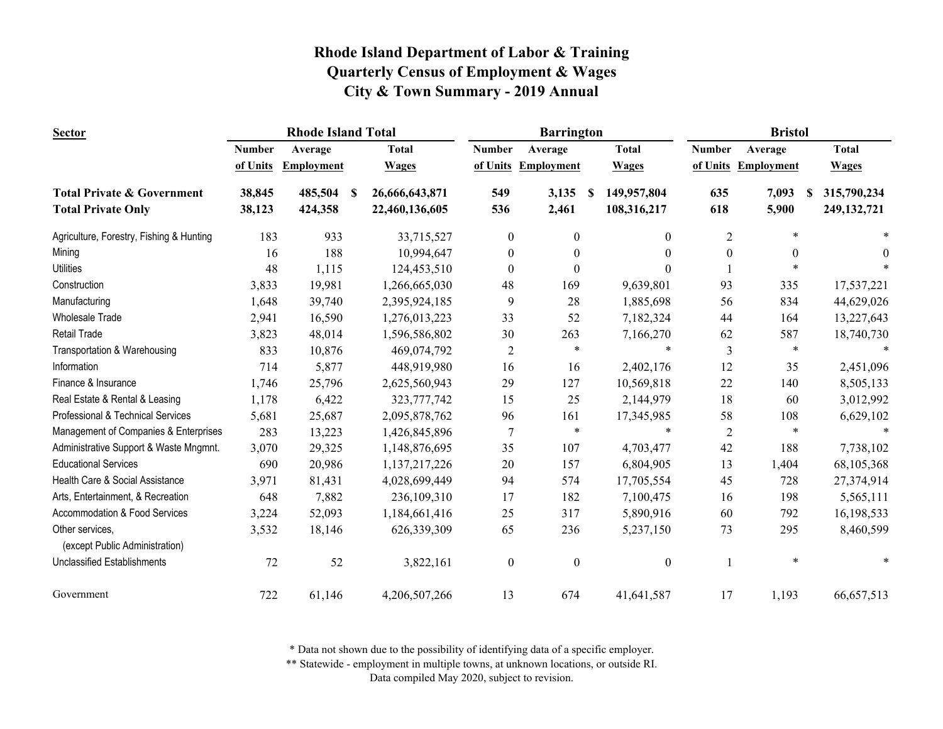| <b>Sector</b>                                     | <b>Rhode Island Total</b> |                   |                |               | <b>Barrington</b>                    |                   | <b>Bristol</b>   |                     |                              |  |
|---------------------------------------------------|---------------------------|-------------------|----------------|---------------|--------------------------------------|-------------------|------------------|---------------------|------------------------------|--|
|                                                   | <b>Number</b>             | Average           | <b>Total</b>   | <b>Number</b> | Average                              | <b>Total</b>      | <b>Number</b>    | Average             | <b>Total</b>                 |  |
|                                                   | of Units                  | <b>Employment</b> | <b>Wages</b>   |               | of Units Employment                  | <b>Wages</b>      |                  | of Units Employment | <b>Wages</b>                 |  |
| <b>Total Private &amp; Government</b>             | 38,845                    | 485,504<br>-S     | 26,666,643,871 | 549           | 3,135                                | 149,957,804<br>-8 | 635              | 7,093               | 315,790,234<br><sup>\$</sup> |  |
| <b>Total Private Only</b>                         | 38,123                    | 424,358           | 22,460,136,605 | 536           | 2,461                                | 108,316,217       | 618              | 5,900               | 249, 132, 721                |  |
| Agriculture, Forestry, Fishing & Hunting          | 183                       | 933               |                | 33,715,527    | $\theta$<br>$\theta$                 | $\theta$          | $\overline{c}$   | $\ast$              |                              |  |
| Mining                                            | 16                        | 188               |                | 10,994,647    | $\overline{0}$<br>$\theta$           | $\theta$          | $\boldsymbol{0}$ | $\theta$            | $\theta$                     |  |
| <b>Utilities</b>                                  | 48                        | 1,115             |                | 124,453,510   | $\theta$<br>$\theta$                 | $\Omega$          |                  | *                   |                              |  |
| Construction                                      | 3,833                     | 19,981            |                | 1,266,665,030 | 169<br>48                            | 9,639,801         | 93               | 335                 | 17,537,221                   |  |
| Manufacturing                                     | 1,648                     | 39,740            | 2,395,924,185  |               | 28<br>9                              | 1,885,698         | 56               | 834                 | 44,629,026                   |  |
| Wholesale Trade                                   | 2,941                     | 16,590            |                | 1,276,013,223 | 33<br>52                             | 7,182,324         | 44               | 164                 | 13,227,643                   |  |
| <b>Retail Trade</b>                               | 3,823                     | 48,014            |                | 1,596,586,802 | 263<br>30                            | 7,166,270         | 62               | 587                 | 18,740,730                   |  |
| Transportation & Warehousing                      | 833                       | 10,876            |                | 469,074,792   | $\ast$<br>$\overline{2}$             | $\ast$            | 3                | $\ast$              |                              |  |
| Information                                       | 714                       | 5,877             |                | 448,919,980   | 16<br>16                             | 2,402,176         | 12               | 35                  | 2,451,096                    |  |
| Finance & Insurance                               | 1,746                     | 25,796            | 2,625,560,943  |               | 29<br>127                            | 10,569,818        | 22               | 140                 | 8,505,133                    |  |
| Real Estate & Rental & Leasing                    | 1,178                     | 6,422             |                | 323,777,742   | 25<br>15                             | 2,144,979         | 18               | 60                  | 3,012,992                    |  |
| Professional & Technical Services                 | 5,681                     | 25,687            | 2,095,878,762  |               | 161<br>96                            | 17,345,985        | 58               | 108                 | 6,629,102                    |  |
| Management of Companies & Enterprises             | 283                       | 13,223            |                | 1,426,845,896 | $\ast$<br>$\overline{7}$             | $\ast$            | $\overline{2}$   | $\ast$              |                              |  |
| Administrative Support & Waste Mngmnt.            | 3,070                     | 29,325            |                | 1,148,876,695 | 35<br>107                            | 4,703,477         | 42               | 188                 | 7,738,102                    |  |
| <b>Educational Services</b>                       | 690                       | 20,986            |                | 1,137,217,226 | 20<br>157                            | 6,804,905         | 13               | 1,404               | 68,105,368                   |  |
| Health Care & Social Assistance                   | 3,971                     | 81,431            | 4,028,699,449  |               | 94<br>574                            | 17,705,554        | 45               | 728                 | 27,374,914                   |  |
| Arts, Entertainment, & Recreation                 | 648                       | 7,882             |                | 236,109,310   | 182<br>17                            | 7,100,475         | 16               | 198                 | 5,565,111                    |  |
| Accommodation & Food Services                     | 3,224                     | 52,093            |                | 1,184,661,416 | 25<br>317                            | 5,890,916         | 60               | 792                 | 16,198,533                   |  |
| Other services,<br>(except Public Administration) | 3,532                     | 18,146            |                | 626,339,309   | 65<br>236                            | 5,237,150         | 73               | 295                 | 8,460,599                    |  |
| <b>Unclassified Establishments</b>                | 72                        | 52                |                | 3,822,161     | $\boldsymbol{0}$<br>$\boldsymbol{0}$ | $\boldsymbol{0}$  |                  | $\ast$              |                              |  |
| Government                                        | 722                       | 61,146            |                | 4,206,507,266 | 13<br>674                            | 41,641,587        | 17               | 1,193               | 66,657,513                   |  |

\* Data not shown due to the possibility of identifying data of a specific employer.

\*\* Statewide - employment in multiple towns, at unknown locations, or outside RI.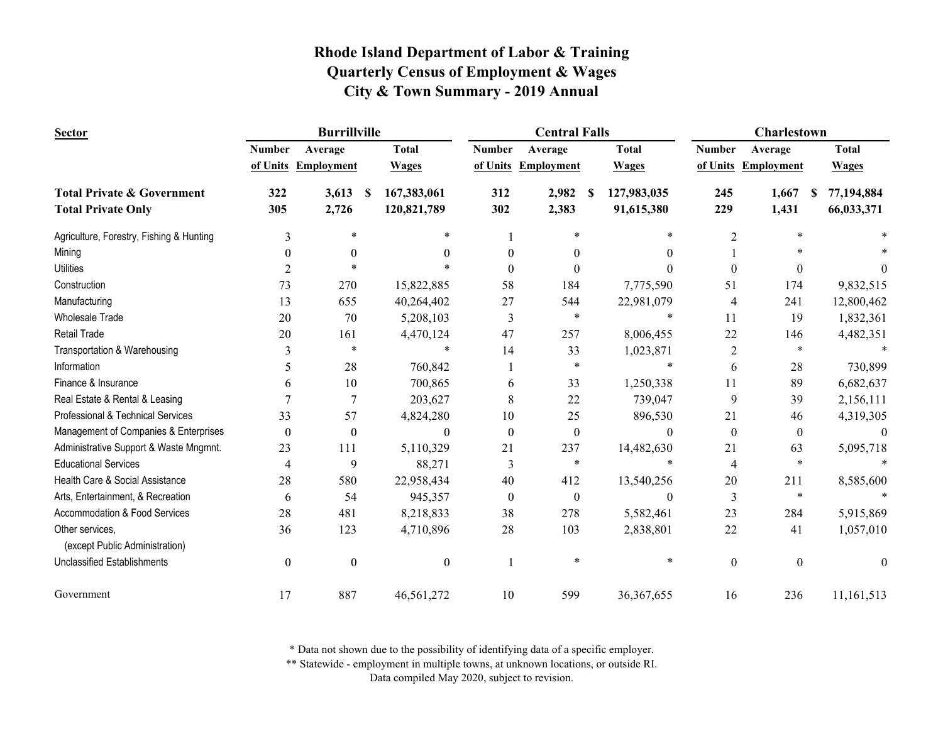| <b>Sector</b>                                     |               | <b>Burrillville</b> |                   |               | <b>Central Falls</b> |                     | Charlestown      |                     |                  |  |
|---------------------------------------------------|---------------|---------------------|-------------------|---------------|----------------------|---------------------|------------------|---------------------|------------------|--|
|                                                   | <b>Number</b> | Average             | <b>Total</b>      | <b>Number</b> | Average              | <b>Total</b>        | <b>Number</b>    | Average             | <b>Total</b>     |  |
|                                                   |               | of Units Employment | <b>Wages</b>      |               | of Units Employment  | <b>Wages</b>        |                  | of Units Employment | <b>Wages</b>     |  |
| <b>Total Private &amp; Government</b>             | 322           | 3,613               | 167,383,061<br>-S | 312           | 2,982                | 127,983,035<br>- \$ | 245              | 1,667               | 77,194,884<br>-S |  |
| <b>Total Private Only</b>                         | 305           | 2,726               | 120,821,789       | 302           | 2,383                | 91,615,380          | 229              | 1,431               | 66,033,371       |  |
| Agriculture, Forestry, Fishing & Hunting          | 3             | $\ast$              | $\ast$            |               | $\ast$               | $\ast$              | 2                | $\ast$              |                  |  |
| Mining                                            | $\theta$      | $\theta$            | 0                 | $\theta$      | $\theta$             | 0                   |                  |                     |                  |  |
| <b>Utilities</b>                                  | 2             |                     |                   | $\Omega$      | $\Omega$             |                     | $\Omega$         | $\theta$            |                  |  |
| Construction                                      | 73            | 270                 | 15,822,885        | 58            | 184                  | 7,775,590           | 51               | 174                 | 9,832,515        |  |
| Manufacturing                                     | 13            | 655                 | 40,264,402        | 27            | 544                  | 22,981,079          | 4                | 241                 | 12,800,462       |  |
| <b>Wholesale Trade</b>                            | 20            | 70                  | 5,208,103         | 3             | $\ast$               | $\ast$              | 11               | 19                  | 1,832,361        |  |
| <b>Retail Trade</b>                               | 20            | 161                 | 4,470,124         | 47            | 257                  | 8,006,455           | 22               | 146                 | 4,482,351        |  |
| Transportation & Warehousing                      | 3             | $\ast$              | $\ast$            | 14            | 33                   | 1,023,871           | 2                | $\ast$              |                  |  |
| Information                                       | 5             | 28                  | 760,842           |               | $\ast$               |                     | 6                | 28                  | 730,899          |  |
| Finance & Insurance                               | 6             | 10                  | 700,865           | 6             | 33                   | 1,250,338           | 11               | 89                  | 6,682,637        |  |
| Real Estate & Rental & Leasing                    |               | $\overline{7}$      | 203,627           | 8             | 22                   | 739,047             | 9                | 39                  | 2,156,111        |  |
| Professional & Technical Services                 | 33            | 57                  | 4,824,280         | 10            | 25                   | 896,530             | 21               | 46                  | 4,319,305        |  |
| Management of Companies & Enterprises             | $\theta$      | $\theta$            | $\theta$          | $\theta$      | $\overline{0}$       | $\Omega$            | $\mathbf{0}$     | $\mathbf{0}$        | $\theta$         |  |
| Administrative Support & Waste Mngmnt.            | 23            | 111                 | 5,110,329         | 21            | 237                  | 14,482,630          | 21               | 63                  | 5,095,718        |  |
| <b>Educational Services</b>                       | 4             | 9                   | 88,271            | 3             | $\ast$               |                     | $\overline{4}$   | $\ast$              |                  |  |
| Health Care & Social Assistance                   | 28            | 580                 | 22,958,434        | 40            | 412                  | 13,540,256          | 20               | 211                 | 8,585,600        |  |
| Arts, Entertainment, & Recreation                 | 6             | 54                  | 945,357           | $\mathbf{0}$  | $\overline{0}$       | $\theta$            | 3                | $\ast$              |                  |  |
| Accommodation & Food Services                     | 28            | 481                 | 8,218,833         | 38            | 278                  | 5,582,461           | 23               | 284                 | 5,915,869        |  |
| Other services,<br>(except Public Administration) | 36            | 123                 | 4,710,896         | 28            | 103                  | 2,838,801           | 22               | 41                  | 1,057,010        |  |
| <b>Unclassified Establishments</b>                | $\mathbf{0}$  | $\boldsymbol{0}$    | $\boldsymbol{0}$  |               | $\ast$               | ∗                   | $\boldsymbol{0}$ | $\boldsymbol{0}$    | $\theta$         |  |
| Government                                        | 17            | 887                 | 46,561,272        | 10            | 599                  | 36, 367, 655        | 16               | 236                 | 11, 161, 513     |  |

\* Data not shown due to the possibility of identifying data of a specific employer.

\*\* Statewide - employment in multiple towns, at unknown locations, or outside RI.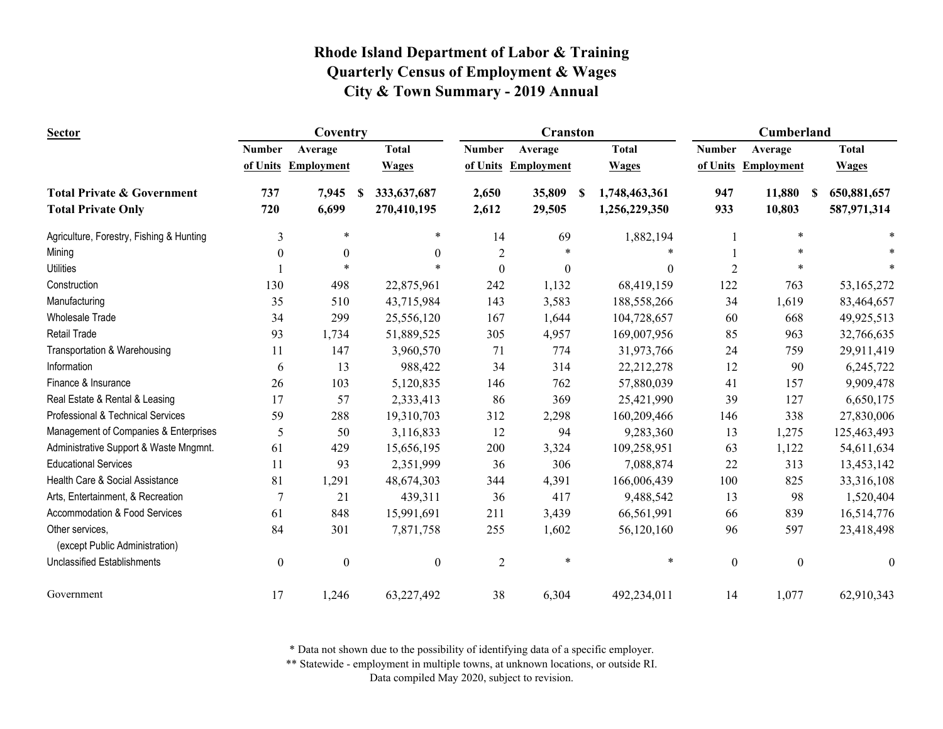| <b>Sector</b>                                                      |                  | Coventry            |                                          |                | <b>Cranston</b>     |                                     | <b>Cumberland</b> |                     |                                        |
|--------------------------------------------------------------------|------------------|---------------------|------------------------------------------|----------------|---------------------|-------------------------------------|-------------------|---------------------|----------------------------------------|
|                                                                    | <b>Number</b>    | Average             | <b>Total</b>                             | <b>Number</b>  | Average             | <b>Total</b>                        | <b>Number</b>     | Average             | <b>Total</b>                           |
|                                                                    |                  | of Units Employment | <b>Wages</b>                             |                | of Units Employment | <b>Wages</b>                        |                   | of Units Employment | <b>Wages</b>                           |
| <b>Total Private &amp; Government</b><br><b>Total Private Only</b> | 737<br>720       | 7,945<br>6,699      | 333, 637, 687<br><b>S</b><br>270,410,195 | 2,650<br>2,612 | 35,809<br>29,505    | 1,748,463,361<br>S<br>1,256,229,350 | 947<br>933        | 11,880<br>10,803    | 650,881,657<br><b>S</b><br>587,971,314 |
|                                                                    |                  |                     |                                          |                |                     |                                     |                   |                     |                                        |
| Agriculture, Forestry, Fishing & Hunting                           | 3                | $\ast$              | ∗                                        | 14             | 69                  | 1,882,194                           |                   | *                   |                                        |
| Mining                                                             | $\theta$         | $\theta$            | $\theta$                                 | $\sqrt{2}$     |                     |                                     |                   | $\ast$              |                                        |
| <b>Utilities</b>                                                   |                  |                     |                                          | $\theta$       | $\theta$            | $\theta$                            | 2                 | *                   |                                        |
| Construction                                                       | 130              | 498                 | 22,875,961                               | 242            | 1,132               | 68,419,159                          | 122               | 763                 | 53,165,272                             |
| Manufacturing                                                      | 35               | 510                 | 43,715,984                               | 143            | 3,583               | 188,558,266                         | 34                | 1,619               | 83,464,657                             |
| <b>Wholesale Trade</b>                                             | 34               | 299                 | 25,556,120                               | 167            | 1,644               | 104,728,657                         | 60                | 668                 | 49,925,513                             |
| <b>Retail Trade</b>                                                | 93               | 1,734               | 51,889,525                               | 305            | 4,957               | 169,007,956                         | 85                | 963                 | 32,766,635                             |
| Transportation & Warehousing                                       | 11               | 147                 | 3,960,570                                | 71             | 774                 | 31,973,766                          | 24                | 759                 | 29,911,419                             |
| Information                                                        | 6                | 13                  | 988,422                                  | 34             | 314                 | 22,212,278                          | 12                | 90                  | 6,245,722                              |
| Finance & Insurance                                                | 26               | 103                 | 5,120,835                                | 146            | 762                 | 57,880,039                          | 41                | 157                 | 9,909,478                              |
| Real Estate & Rental & Leasing                                     | 17               | 57                  | 2,333,413                                | 86             | 369                 | 25,421,990                          | 39                | 127                 | 6,650,175                              |
| Professional & Technical Services                                  | 59               | 288                 | 19,310,703                               | 312            | 2,298               | 160,209,466                         | 146               | 338                 | 27,830,006                             |
| Management of Companies & Enterprises                              | 5                | 50                  | 3,116,833                                | 12             | 94                  | 9,283,360                           | 13                | 1,275               | 125,463,493                            |
| Administrative Support & Waste Mngmnt.                             | 61               | 429                 | 15,656,195                               | 200            | 3,324               | 109,258,951                         | 63                | 1,122               | 54,611,634                             |
| <b>Educational Services</b>                                        | 11               | 93                  | 2,351,999                                | 36             | 306                 | 7,088,874                           | 22                | 313                 | 13,453,142                             |
| Health Care & Social Assistance                                    | 81               | 1,291               | 48,674,303                               | 344            | 4,391               | 166,006,439                         | 100               | 825                 | 33,316,108                             |
| Arts, Entertainment, & Recreation                                  | 7                | 21                  | 439,311                                  | 36             | 417                 | 9,488,542                           | 13                | 98                  | 1,520,404                              |
| Accommodation & Food Services                                      | 61               | 848                 | 15,991,691                               | 211            | 3,439               | 66,561,991                          | 66                | 839                 | 16,514,776                             |
| Other services,                                                    | 84               | 301                 | 7,871,758                                | 255            | 1,602               | 56,120,160                          | 96                | 597                 | 23,418,498                             |
| (except Public Administration)                                     |                  |                     |                                          |                |                     |                                     |                   |                     |                                        |
| <b>Unclassified Establishments</b>                                 | $\boldsymbol{0}$ | $\boldsymbol{0}$    | $\boldsymbol{0}$                         | $\overline{2}$ | $\ast$              | $\ast$                              | $\boldsymbol{0}$  | $\boldsymbol{0}$    | $\theta$                               |
| Government                                                         | 17               | 1,246               | 63,227,492                               | 38             | 6,304               | 492,234,011                         | 14                | 1,077               | 62,910,343                             |

\* Data not shown due to the possibility of identifying data of a specific employer.

\*\* Statewide - employment in multiple towns, at unknown locations, or outside RI.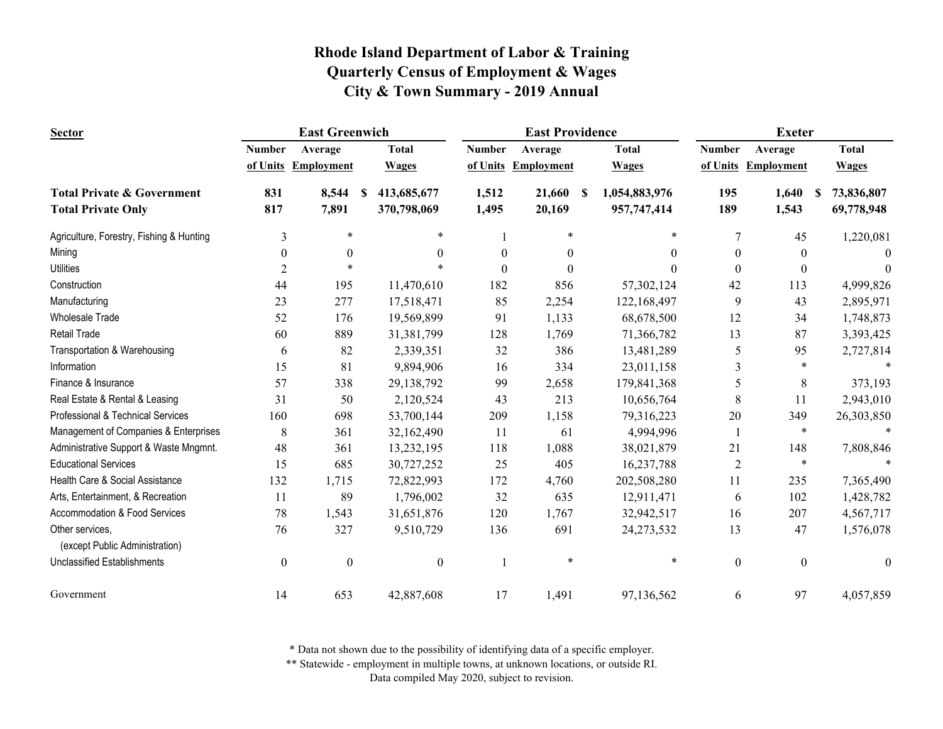| <b>Sector</b>                            |               | <b>East Greenwich</b> |                   |                  | <b>East Providence</b> |                    | <b>Exeter</b>    |                  |                  |  |
|------------------------------------------|---------------|-----------------------|-------------------|------------------|------------------------|--------------------|------------------|------------------|------------------|--|
|                                          | <b>Number</b> | Average               | <b>Total</b>      | <b>Number</b>    | Average                | <b>Total</b>       | <b>Number</b>    | Average          | <b>Total</b>     |  |
|                                          | of Units      | Employment            | <b>Wages</b>      | of Units         | <b>Employment</b>      | <b>Wages</b>       | of Units         | Employment       | <b>Wages</b>     |  |
| <b>Total Private &amp; Government</b>    | 831           | 8,544                 | 413,685,677<br>-S | 1,512            | 21,660                 | 1,054,883,976<br>S | 195              | 1,640            | 73,836,807<br>-S |  |
| <b>Total Private Only</b>                | 817           | 7,891                 | 370,798,069       | 1,495            | 20,169                 | 957,747,414        | 189              | 1,543            | 69,778,948       |  |
| Agriculture, Forestry, Fishing & Hunting | 3             | $\ast$                | $\ast$            |                  | *                      | ∗                  | $\tau$           | 45               | 1,220,081        |  |
| Mining                                   | $\theta$      | $\boldsymbol{0}$      | $\theta$          | $\boldsymbol{0}$ | $\theta$               | $\Omega$           | $\theta$         | $\theta$         | $\Omega$         |  |
| <b>Utilities</b>                         | 2             |                       |                   | $\Omega$         | $\Omega$               | $\Omega$           | $\Omega$         | $\theta$         | $\Omega$         |  |
| Construction                             | 44            | 195                   | 11,470,610        | 182              | 856                    | 57,302,124         | 42               | 113              | 4,999,826        |  |
| Manufacturing                            | 23            | 277                   | 17,518,471        | 85               | 2,254                  | 122,168,497        | 9                | 43               | 2,895,971        |  |
| <b>Wholesale Trade</b>                   | 52            | 176                   | 19,569,899        | 91               | 1,133                  | 68,678,500         | 12               | 34               | 1,748,873        |  |
| Retail Trade                             | 60            | 889                   | 31,381,799        | 128              | 1,769                  | 71,366,782         | 13               | 87               | 3,393,425        |  |
| Transportation & Warehousing             | 6             | 82                    | 2,339,351         | 32               | 386                    | 13,481,289         | 5                | 95               | 2,727,814        |  |
| Information                              | 15            | 81                    | 9,894,906         | 16               | 334                    | 23,011,158         | 3                | $\ast$           |                  |  |
| Finance & Insurance                      | 57            | 338                   | 29,138,792        | 99               | 2,658                  | 179,841,368        | 5                | $\,8\,$          | 373,193          |  |
| Real Estate & Rental & Leasing           | 31            | 50                    | 2,120,524         | 43               | 213                    | 10,656,764         | 8                | 11               | 2,943,010        |  |
| Professional & Technical Services        | 160           | 698                   | 53,700,144        | 209              | 1,158                  | 79,316,223         | 20               | 349              | 26,303,850       |  |
| Management of Companies & Enterprises    | 8             | 361                   | 32,162,490        | 11               | 61                     | 4,994,996          |                  | $\ast$           |                  |  |
| Administrative Support & Waste Mngmnt.   | 48            | 361                   | 13,232,195        | 118              | 1,088                  | 38,021,879         | 21               | 148              | 7,808,846        |  |
| <b>Educational Services</b>              | 15            | 685                   | 30,727,252        | 25               | 405                    | 16,237,788         | $\overline{2}$   | $\ast$           |                  |  |
| Health Care & Social Assistance          | 132           | 1,715                 | 72,822,993        | 172              | 4,760                  | 202,508,280        | 11               | 235              | 7,365,490        |  |
| Arts, Entertainment, & Recreation        | 11            | 89                    | 1,796,002         | 32               | 635                    | 12,911,471         | 6                | 102              | 1,428,782        |  |
| Accommodation & Food Services            | 78            | 1,543                 | 31,651,876        | 120              | 1,767                  | 32,942,517         | 16               | 207              | 4,567,717        |  |
| Other services,                          | 76            | 327                   | 9,510,729         | 136              | 691                    | 24, 273, 532       | 13               | 47               | 1,576,078        |  |
| (except Public Administration)           |               |                       |                   |                  |                        |                    |                  |                  |                  |  |
| <b>Unclassified Establishments</b>       | $\mathbf{0}$  | $\boldsymbol{0}$      | $\boldsymbol{0}$  |                  | *                      | $\ast$             | $\boldsymbol{0}$ | $\boldsymbol{0}$ | $\theta$         |  |
| Government                               | 14            | 653                   | 42,887,608        | 17               | 1,491                  | 97,136,562         | 6                | 97               | 4,057,859        |  |

\* Data not shown due to the possibility of identifying data of a specific employer.

\*\* Statewide - employment in multiple towns, at unknown locations, or outside RI.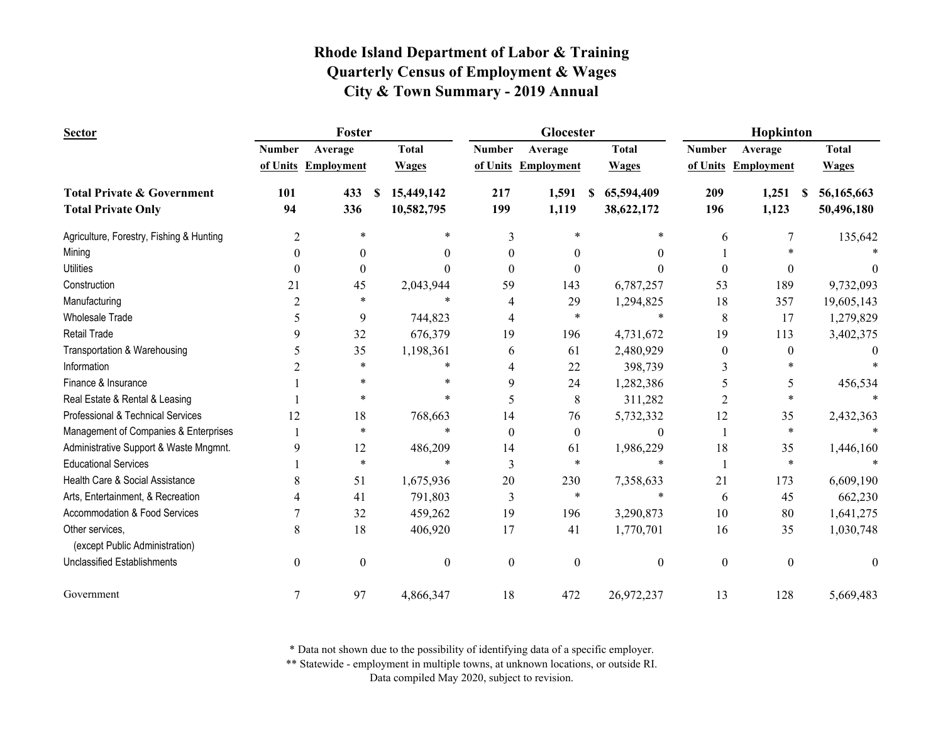| <b>Sector</b>                                     |               | Foster              |                  |                  | Glocester           |                  | Hopkinton        |                     |                  |
|---------------------------------------------------|---------------|---------------------|------------------|------------------|---------------------|------------------|------------------|---------------------|------------------|
|                                                   | <b>Number</b> | Average             | <b>Total</b>     | <b>Number</b>    | Average             | <b>Total</b>     | <b>Number</b>    | Average             | <b>Total</b>     |
|                                                   |               | of Units Employment | <b>Wages</b>     |                  | of Units Employment | <b>Wages</b>     |                  | of Units Employment | <b>Wages</b>     |
| <b>Total Private &amp; Government</b>             | 101           | 433                 | 15,449,142<br>\$ | 217              | 1,591               | 65,594,409<br>S  | 209              | 1,251               | 56,165,663<br>-S |
| <b>Total Private Only</b>                         | 94            | 336                 | 10,582,795       | 199              | 1,119               | 38,622,172       | 196              | 1,123               | 50,496,180       |
| Agriculture, Forestry, Fishing & Hunting          | 2             | $\ast$              | ∗                | 3                | *                   | *                | 6                |                     | 135,642          |
| Mining                                            | 0             | $\theta$            | $\Omega$         | $\boldsymbol{0}$ | $\theta$            | 0                |                  |                     |                  |
| <b>Utilities</b>                                  | 0             | $\theta$            | $\Omega$         | $\theta$         | $\theta$            | 0                | 0                | $\Omega$            |                  |
| Construction                                      | 21            | 45                  | 2,043,944        | 59               | 143                 | 6,787,257        | 53               | 189                 | 9,732,093        |
| Manufacturing                                     | 2             | *                   | $\ast$           | 4                | 29                  | 1,294,825        | 18               | 357                 | 19,605,143       |
| <b>Wholesale Trade</b>                            | 5             | 9                   | 744,823          | 4                | *                   | $\ast$           | 8                | 17                  | 1,279,829        |
| <b>Retail Trade</b>                               | 9             | 32                  | 676,379          | 19               | 196                 | 4,731,672        | 19               | 113                 | 3,402,375        |
| Transportation & Warehousing                      | 5             | 35                  | 1,198,361        | 6                | 61                  | 2,480,929        | $\theta$         | $\theta$            |                  |
| Information                                       |               | $\ast$              | $\ast$           | 4                | 22                  | 398,739          | 3                |                     |                  |
| Finance & Insurance                               |               | $\ast$              | $\ast$           | 9                | 24                  | 1,282,386        | 5                | 5                   | 456,534          |
| Real Estate & Rental & Leasing                    |               | *                   | $\ast$           | 5                | 8                   | 311,282          | 2                |                     |                  |
| Professional & Technical Services                 | 12            | 18                  | 768,663          | 14               | 76                  | 5,732,332        | 12               | 35                  | 2,432,363        |
| Management of Companies & Enterprises             |               | $\ast$              | $\ast$           | $\theta$         | $\overline{0}$      | $\boldsymbol{0}$ |                  | $\ast$              |                  |
| Administrative Support & Waste Mngmnt.            | 9             | 12                  | 486,209          | 14               | 61                  | 1,986,229        | 18               | 35                  | 1,446,160        |
| <b>Educational Services</b>                       |               | $\ast$              | $\ast$           | 3                | *                   | $\ast$           |                  | $\ast$              |                  |
| Health Care & Social Assistance                   | 8             | 51                  | 1,675,936        | 20               | 230                 | 7,358,633        | 21               | 173                 | 6,609,190        |
| Arts, Entertainment, & Recreation                 |               | 41                  | 791,803          | 3                | *                   | $\ast$           | 6                | 45                  | 662,230          |
| Accommodation & Food Services                     |               | 32                  | 459,262          | 19               | 196                 | 3,290,873        | 10               | 80                  | 1,641,275        |
| Other services,<br>(except Public Administration) | 8             | 18                  | 406,920          | 17               | 41                  | 1,770,701        | 16               | 35                  | 1,030,748        |
| <b>Unclassified Establishments</b>                | $\theta$      | $\boldsymbol{0}$    | $\boldsymbol{0}$ | $\boldsymbol{0}$ | $\theta$            | $\boldsymbol{0}$ | $\boldsymbol{0}$ | $\theta$            | $\theta$         |
|                                                   |               |                     |                  |                  |                     |                  |                  |                     |                  |
| Government                                        | 7             | 97                  | 4,866,347        | 18               | 472                 | 26,972,237       | 13               | 128                 | 5,669,483        |

\* Data not shown due to the possibility of identifying data of a specific employer.

\*\* Statewide - employment in multiple towns, at unknown locations, or outside RI.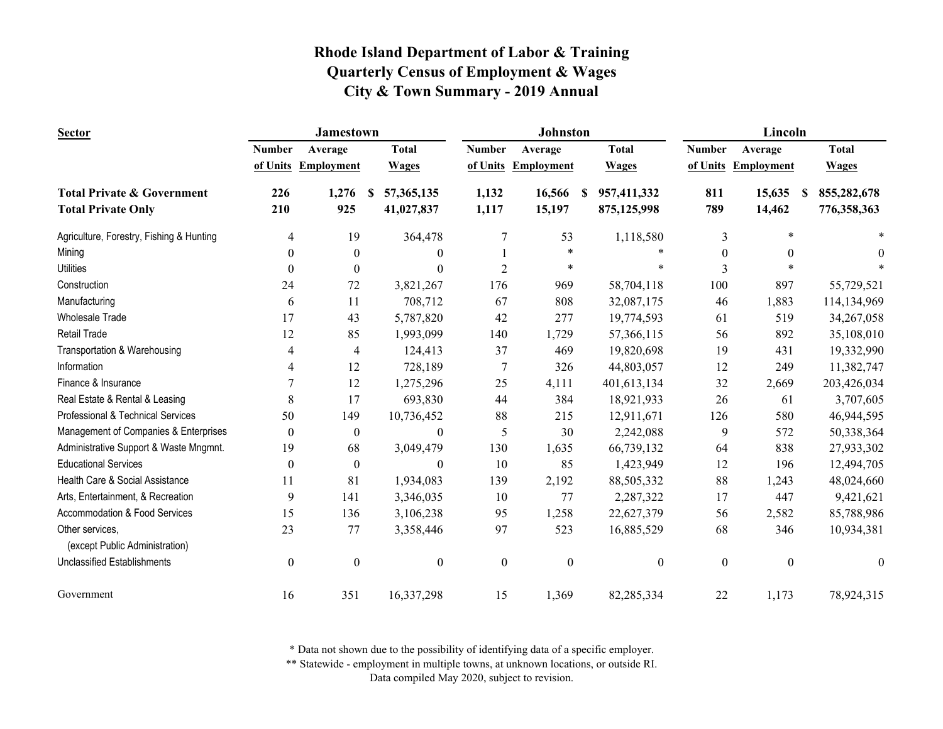| <b>Sector</b>                                                      | <b>Jamestown</b> |                     |                                |                  | <b>Johnston</b>     |                                 | Lincoln          |                   |                                 |
|--------------------------------------------------------------------|------------------|---------------------|--------------------------------|------------------|---------------------|---------------------------------|------------------|-------------------|---------------------------------|
|                                                                    | <b>Number</b>    | Average             | <b>Total</b>                   | <b>Number</b>    | Average             | <b>Total</b>                    | <b>Number</b>    | Average           | <b>Total</b>                    |
|                                                                    |                  | of Units Employment | <b>Wages</b>                   |                  | of Units Employment | <b>Wages</b>                    | of Units         | <b>Employment</b> | <b>Wages</b>                    |
| <b>Total Private &amp; Government</b><br><b>Total Private Only</b> | 226<br>210       | 1,276<br>925        | 57,365,135<br>-S<br>41,027,837 | 1,132<br>1,117   | 16,566<br>15,197    | 957,411,332<br>S<br>875,125,998 | 811<br>789       | 15,635<br>14,462  | 855,282,678<br>S<br>776,358,363 |
| Agriculture, Forestry, Fishing & Hunting                           | 4                | 19                  | 364,478                        | $\overline{7}$   | 53                  | 1,118,580                       | 3                | $\ast$            | $\ast$                          |
| Mining                                                             | $\boldsymbol{0}$ | $\boldsymbol{0}$    | $\boldsymbol{0}$               |                  | $\ast$              | $\ast$                          | $\mathbf{0}$     | $\theta$          | $\theta$                        |
| <b>Utilities</b>                                                   | $\Omega$         | $\theta$            | $\Omega$                       | $\overline{2}$   | $\ast$              | $\ast$                          | 3                |                   |                                 |
| Construction                                                       | 24               | 72                  | 3,821,267                      | 176              | 969                 | 58,704,118                      | 100              | 897               | 55,729,521                      |
| Manufacturing                                                      | 6                | 11                  | 708,712                        | 67               | 808                 | 32,087,175                      | 46               | 1,883             | 114,134,969                     |
| <b>Wholesale Trade</b>                                             | 17               | 43                  | 5,787,820                      | 42               | 277                 | 19,774,593                      | 61               | 519               | 34,267,058                      |
| Retail Trade                                                       | 12               | 85                  | 1,993,099                      | 140              | 1,729               | 57,366,115                      | 56               | 892               | 35,108,010                      |
| Transportation & Warehousing                                       | 4                | 4                   | 124,413                        | 37               | 469                 | 19,820,698                      | 19               | 431               | 19,332,990                      |
| Information                                                        | 4                | 12                  | 728,189                        | 7                | 326                 | 44,803,057                      | 12               | 249               | 11,382,747                      |
| Finance & Insurance                                                | $\overline{7}$   | 12                  | 1,275,296                      | 25               | 4,111               | 401,613,134                     | 32               | 2,669             | 203,426,034                     |
| Real Estate & Rental & Leasing                                     | 8                | 17                  | 693,830                        | 44               | 384                 | 18,921,933                      | 26               | 61                | 3,707,605                       |
| Professional & Technical Services                                  | 50               | 149                 | 10,736,452                     | 88               | 215                 | 12,911,671                      | 126              | 580               | 46,944,595                      |
| Management of Companies & Enterprises                              | $\boldsymbol{0}$ | $\boldsymbol{0}$    | $\boldsymbol{0}$               | 5                | 30                  | 2,242,088                       | 9                | 572               | 50,338,364                      |
| Administrative Support & Waste Mngmnt.                             | 19               | 68                  | 3,049,479                      | 130              | 1,635               | 66,739,132                      | 64               | 838               | 27,933,302                      |
| <b>Educational Services</b>                                        | $\overline{0}$   | $\theta$            | $\theta$                       | 10               | 85                  | 1,423,949                       | 12               | 196               | 12,494,705                      |
| Health Care & Social Assistance                                    | 11               | 81                  | 1,934,083                      | 139              | 2,192               | 88,505,332                      | 88               | 1,243             | 48,024,660                      |
| Arts, Entertainment, & Recreation                                  | 9                | 141                 | 3,346,035                      | 10               | 77                  | 2,287,322                       | 17               | 447               | 9,421,621                       |
| <b>Accommodation &amp; Food Services</b>                           | 15               | 136                 | 3,106,238                      | 95               | 1,258               | 22,627,379                      | 56               | 2,582             | 85,788,986                      |
| Other services,<br>(except Public Administration)                  | 23               | 77                  | 3,358,446                      | 97               | 523                 | 16,885,529                      | 68               | 346               | 10,934,381                      |
| <b>Unclassified Establishments</b>                                 | $\boldsymbol{0}$ | $\boldsymbol{0}$    | $\boldsymbol{0}$               | $\boldsymbol{0}$ | $\boldsymbol{0}$    | $\boldsymbol{0}$                | $\boldsymbol{0}$ | $\boldsymbol{0}$  | $\mathbf{0}$                    |
| Government                                                         | 16               | 351                 | 16,337,298                     | 15               | 1,369               | 82,285,334                      | 22               | 1,173             | 78,924,315                      |

\* Data not shown due to the possibility of identifying data of a specific employer.

\*\* Statewide - employment in multiple towns, at unknown locations, or outside RI.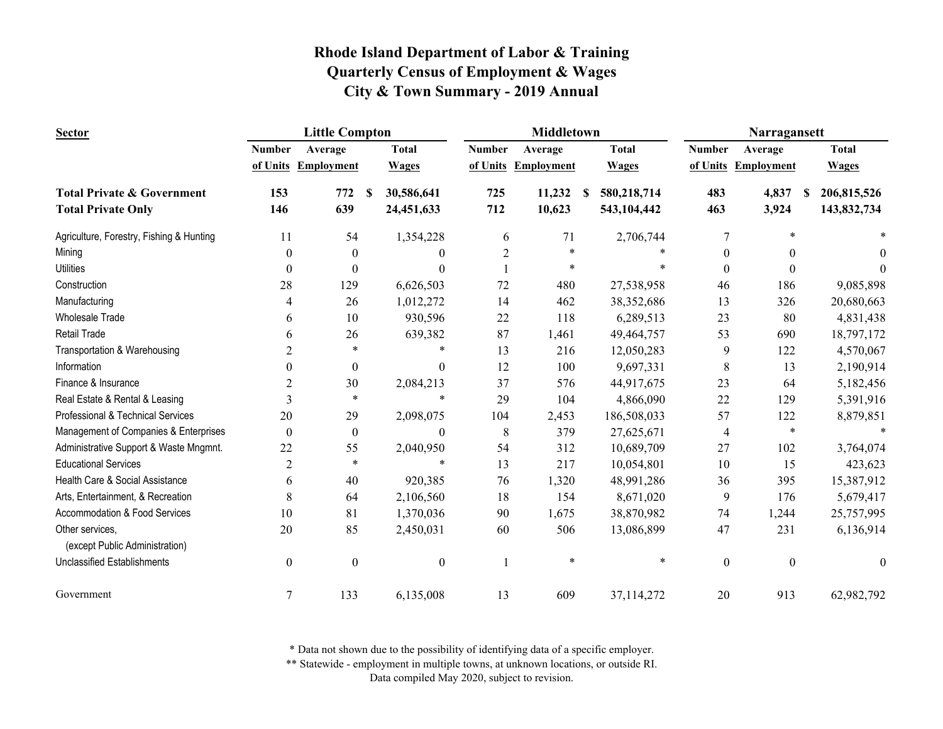| <b>Sector</b>                                     |                  | <b>Little Compton</b> |                        |                                  | <b>Middletown</b>   |                  | Narragansett     |                     |                  |
|---------------------------------------------------|------------------|-----------------------|------------------------|----------------------------------|---------------------|------------------|------------------|---------------------|------------------|
|                                                   | <b>Number</b>    | Average               | <b>Total</b>           | <b>Number</b>                    | Average             | <b>Total</b>     | <b>Number</b>    | Average             | <b>Total</b>     |
|                                                   |                  | of Units Employment   | <b>Wages</b>           |                                  | of Units Employment | <b>Wages</b>     |                  | of Units Employment | <b>Wages</b>     |
| <b>Total Private &amp; Government</b>             | 153              | 772                   | 30,586,641<br><b>S</b> | 725                              | 11,232              | 580,218,714<br>S | 483              | 4,837               | 206,815,526<br>S |
| <b>Total Private Only</b>                         | 146              | 639                   | 24,451,633             | 712                              | 10,623              | 543,104,442      | 463              | 3,924               | 143,832,734      |
| Agriculture, Forestry, Fishing & Hunting          | 11               | 54                    | 1,354,228              | 6                                | 71                  | 2,706,744        | 7                | $\ast$              |                  |
| Mining                                            | 0                | $\theta$              |                        | $\overline{2}$<br>$\Omega$       | $\ast$              |                  | $\boldsymbol{0}$ |                     | $\theta$         |
| <b>Utilities</b>                                  | 0                | 0                     |                        | $\Omega$                         |                     |                  | $\theta$         | $\Omega$            |                  |
| Construction                                      | 28               | 129                   | 6,626,503              | 72                               | 480                 | 27,538,958       | 46               | 186                 | 9,085,898        |
| Manufacturing                                     | 4                | 26                    | 1,012,272              | 14                               | 462                 | 38,352,686       | 13               | 326                 | 20,680,663       |
| <b>Wholesale Trade</b>                            | 6                | 10                    | 930,596                | 22                               | 118                 | 6,289,513        | 23               | 80                  | 4,831,438        |
| Retail Trade                                      | 6                | 26                    | 639,382                | 87                               | 1,461               | 49,464,757       | 53               | 690                 | 18,797,172       |
| Transportation & Warehousing                      | 2                | $\ast$                |                        | $\ast$<br>13                     | 216                 | 12,050,283       | 9                | 122                 | 4,570,067        |
| Information                                       | $\Omega$         | $\theta$              |                        | 12<br>$\theta$                   | 100                 | 9,697,331        | 8                | 13                  | 2,190,914        |
| Finance & Insurance                               | 2                | 30                    | 2,084,213              | 37                               | 576                 | 44,917,675       | 23               | 64                  | 5,182,456        |
| Real Estate & Rental & Leasing                    | 3                | $\ast$                |                        | $\ast$<br>29                     | 104                 | 4,866,090        | 22               | 129                 | 5,391,916        |
| Professional & Technical Services                 | 20               | 29                    | 2,098,075              | 104                              | 2,453               | 186,508,033      | 57               | 122                 | 8,879,851        |
| Management of Companies & Enterprises             | $\theta$         | $\overline{0}$        |                        | 8<br>$\boldsymbol{0}$            | 379                 | 27,625,671       | 4                | $\ast$              |                  |
| Administrative Support & Waste Mngmnt.            | 22               | 55                    | 2,040,950              | 54                               | 312                 | 10,689,709       | 27               | 102                 | 3,764,074        |
| <b>Educational Services</b>                       | $\overline{c}$   | $\ast$                |                        | 13<br>$\ast$                     | 217                 | 10,054,801       | 10               | 15                  | 423,623          |
| Health Care & Social Assistance                   | 6                | 40                    | 920,385                | 76                               | 1,320               | 48,991,286       | 36               | 395                 | 15,387,912       |
| Arts, Entertainment, & Recreation                 | 8                | 64                    | 2,106,560              | 18                               | 154                 | 8,671,020        | 9                | 176                 | 5,679,417        |
| Accommodation & Food Services                     | 10               | 81                    | 1,370,036              | 90                               | 1,675               | 38,870,982       | 74               | 1,244               | 25,757,995       |
| Other services,<br>(except Public Administration) | 20               | 85                    | 2,450,031              | 60                               | 506                 | 13,086,899       | 47               | 231                 | 6,136,914        |
| <b>Unclassified Establishments</b>                | $\boldsymbol{0}$ | $\boldsymbol{0}$      |                        | $\boldsymbol{0}$<br>$\mathbf{1}$ | $\ast$              | *                | $\boldsymbol{0}$ | $\boldsymbol{0}$    | $\theta$         |
| Government                                        | $\tau$           | 133                   | 6,135,008              | 13                               | 609                 | 37,114,272       | 20               | 913                 | 62,982,792       |

\* Data not shown due to the possibility of identifying data of a specific employer.

\*\* Statewide - employment in multiple towns, at unknown locations, or outside RI.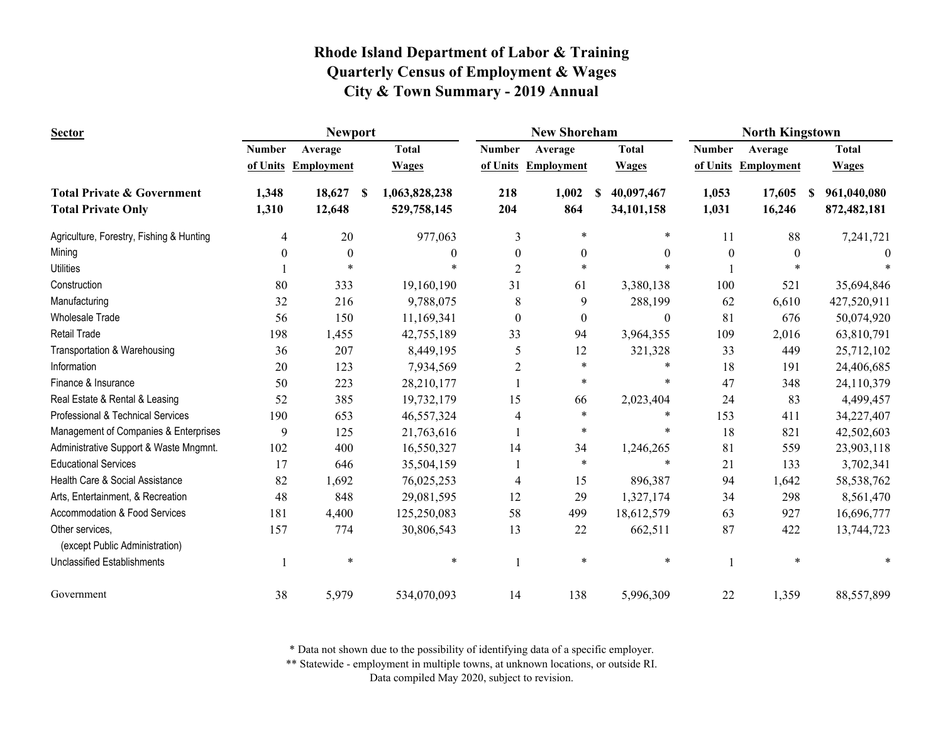| <b>Sector</b>                                     | <b>Newport</b> |                     |                     |                  | <b>New Shoreham</b> |                             | <b>North Kingstown</b> |                     |                  |
|---------------------------------------------------|----------------|---------------------|---------------------|------------------|---------------------|-----------------------------|------------------------|---------------------|------------------|
|                                                   | <b>Number</b>  | Average             | <b>Total</b>        | <b>Number</b>    | Average             | <b>Total</b>                | <b>Number</b>          | Average             | <b>Total</b>     |
|                                                   |                | of Units Employment | <b>Wages</b>        |                  | of Units Employment | <b>Wages</b>                |                        | of Units Employment | <b>Wages</b>     |
| <b>Total Private &amp; Government</b>             | 1,348          | 18,627              | 1,063,828,238<br>-S | 218              | 1,002               | 40,097,467<br><sup>\$</sup> | 1,053                  | 17,605              | 961,040,080<br>S |
| <b>Total Private Only</b>                         | 1,310          | 12,648              | 529,758,145         | 204              | 864                 | 34,101,158                  | 1,031                  | 16,246              | 872,482,181      |
| Agriculture, Forestry, Fishing & Hunting          | 4              | 20                  | 977,063             | 3                | $\ast$              | $\ast$                      | 11                     | 88                  | 7,241,721        |
| Mining                                            | $\theta$       | $\boldsymbol{0}$    | $\theta$            | $\boldsymbol{0}$ | $\boldsymbol{0}$    | $\theta$                    | $\boldsymbol{0}$       | $\mathbf{0}$        | $\theta$         |
| <b>Utilities</b>                                  |                | $\ast$              |                     | $\overline{c}$   | $\ast$              |                             |                        | $\ast$              |                  |
| Construction                                      | 80             | 333                 | 19,160,190          | 31               | 61                  | 3,380,138                   | 100                    | 521                 | 35,694,846       |
| Manufacturing                                     | 32             | 216                 | 9,788,075           | 8                | 9                   | 288,199                     | 62                     | 6,610               | 427,520,911      |
| <b>Wholesale Trade</b>                            | 56             | 150                 | 11,169,341          | $\boldsymbol{0}$ | $\boldsymbol{0}$    | $\boldsymbol{0}$            | 81                     | 676                 | 50,074,920       |
| <b>Retail Trade</b>                               | 198            | 1,455               | 42,755,189          | 33               | 94                  | 3,964,355                   | 109                    | 2,016               | 63,810,791       |
| Transportation & Warehousing                      | 36             | 207                 | 8,449,195           | 5                | 12                  | 321,328                     | 33                     | 449                 | 25,712,102       |
| Information                                       | 20             | 123                 | 7,934,569           | $\overline{c}$   | $\ast$              | *                           | 18                     | 191                 | 24,406,685       |
| Finance & Insurance                               | 50             | 223                 | 28,210,177          |                  | $\ast$              | *                           | 47                     | 348                 | 24,110,379       |
| Real Estate & Rental & Leasing                    | 52             | 385                 | 19,732,179          | 15               | 66                  | 2,023,404                   | 24                     | 83                  | 4,499,457        |
| Professional & Technical Services                 | 190            | 653                 | 46,557,324          | 4                | $\ast$              | *                           | 153                    | 411                 | 34,227,407       |
| Management of Companies & Enterprises             | 9              | 125                 | 21,763,616          |                  | $\ast$              | *                           | 18                     | 821                 | 42,502,603       |
| Administrative Support & Waste Mngmnt.            | 102            | 400                 | 16,550,327          | 14               | 34                  | 1,246,265                   | 81                     | 559                 | 23,903,118       |
| <b>Educational Services</b>                       | 17             | 646                 | 35,504,159          |                  | $\ast$              | $\ast$                      | 21                     | 133                 | 3,702,341        |
| Health Care & Social Assistance                   | 82             | 1,692               | 76,025,253          | 4                | 15                  | 896,387                     | 94                     | 1,642               | 58, 538, 762     |
| Arts, Entertainment, & Recreation                 | 48             | 848                 | 29,081,595          | 12               | 29                  | 1,327,174                   | 34                     | 298                 | 8,561,470        |
| Accommodation & Food Services                     | 181            | 4,400               | 125,250,083         | 58               | 499                 | 18,612,579                  | 63                     | 927                 | 16,696,777       |
| Other services,<br>(except Public Administration) | 157            | 774                 | 30,806,543          | 13               | 22                  | 662,511                     | 87                     | 422                 | 13,744,723       |
| <b>Unclassified Establishments</b>                |                | $\ast$              | $\ast$              |                  | $\ast$              | $\ast$                      |                        | $\ast$              |                  |
| Government                                        | 38             | 5,979               | 534,070,093         | 14               | 138                 | 5,996,309                   | 22                     | 1,359               | 88,557,899       |

\* Data not shown due to the possibility of identifying data of a specific employer.

\*\* Statewide - employment in multiple towns, at unknown locations, or outside RI.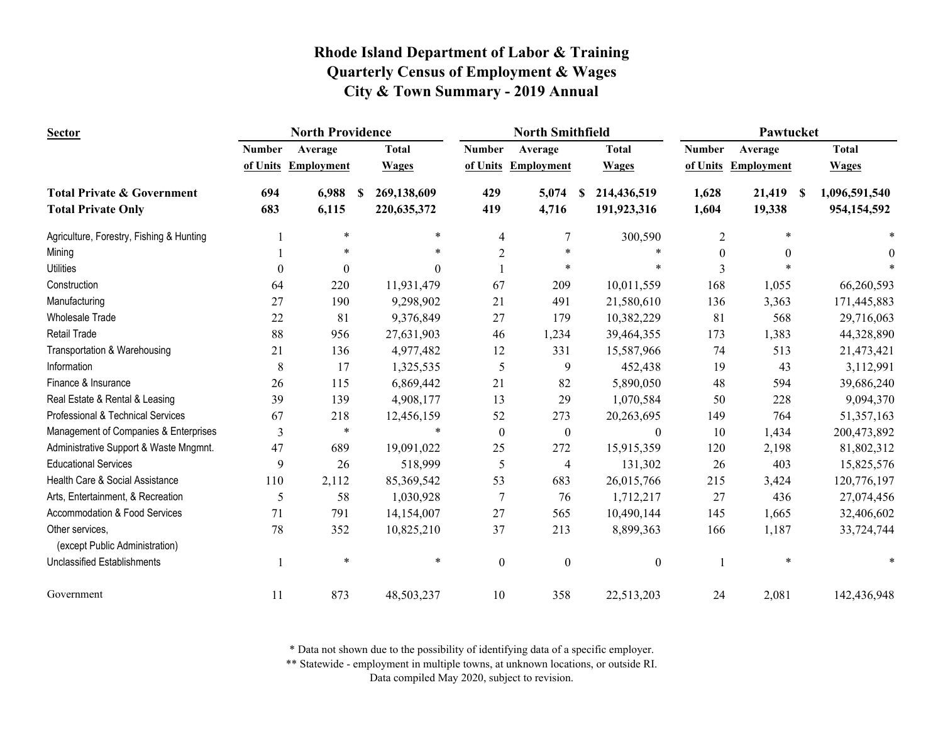| <b>Sector</b>                            | <b>North Providence</b> |                   |                   |                  | <b>North Smithfield</b> |                  |                  | Pawtucket           |                     |  |  |
|------------------------------------------|-------------------------|-------------------|-------------------|------------------|-------------------------|------------------|------------------|---------------------|---------------------|--|--|
|                                          | <b>Number</b>           | Average           | <b>Total</b>      | <b>Number</b>    | Average                 | <b>Total</b>     | <b>Number</b>    | Average             | <b>Total</b>        |  |  |
|                                          | of Units                | <b>Employment</b> | <b>Wages</b>      | of Units         | <b>Employment</b>       | <b>Wages</b>     |                  | of Units Employment | <b>Wages</b>        |  |  |
| <b>Total Private &amp; Government</b>    | 694                     | 6,988             | 269,138,609<br>-S | 429              | 5,074                   | 214,436,519<br>S | 1,628            | 21,419              | 1,096,591,540<br>-S |  |  |
| <b>Total Private Only</b>                | 683                     | 6,115             | 220, 635, 372     | 419              | 4,716                   | 191,923,316      | 1,604            | 19,338              | 954,154,592         |  |  |
| Agriculture, Forestry, Fishing & Hunting |                         | $\ast$            | ∗                 | $\overline{4}$   | $\overline{7}$          | 300,590          | 2                | $\ast$              |                     |  |  |
| Mining                                   |                         |                   |                   | $\overline{2}$   |                         |                  | $\boldsymbol{0}$ | $\theta$            | $\theta$            |  |  |
| <b>Utilities</b>                         | $\Omega$                | $\theta$          | $\theta$          |                  | $\ast$                  |                  | 3                |                     |                     |  |  |
| Construction                             | 64                      | 220               | 11,931,479        | 67               | 209                     | 10,011,559       | 168              | 1,055               | 66,260,593          |  |  |
| Manufacturing                            | 27                      | 190               | 9,298,902         | 21               | 491                     | 21,580,610       | 136              | 3,363               | 171,445,883         |  |  |
| <b>Wholesale Trade</b>                   | 22                      | 81                | 9,376,849         | 27               | 179                     | 10,382,229       | 81               | 568                 | 29,716,063          |  |  |
| Retail Trade                             | 88                      | 956               | 27,631,903        | 46               | 1,234                   | 39,464,355       | 173              | 1,383               | 44,328,890          |  |  |
| Transportation & Warehousing             | 21                      | 136               | 4,977,482         | 12               | 331                     | 15,587,966       | 74               | 513                 | 21,473,421          |  |  |
| Information                              | 8                       | 17                | 1,325,535         | 5                | 9                       | 452,438          | 19               | 43                  | 3,112,991           |  |  |
| Finance & Insurance                      | 26                      | 115               | 6,869,442         | 21               | 82                      | 5,890,050        | 48               | 594                 | 39,686,240          |  |  |
| Real Estate & Rental & Leasing           | 39                      | 139               | 4,908,177         | 13               | 29                      | 1,070,584        | 50               | 228                 | 9,094,370           |  |  |
| Professional & Technical Services        | 67                      | 218               | 12,456,159        | 52               | 273                     | 20,263,695       | 149              | 764                 | 51,357,163          |  |  |
| Management of Companies & Enterprises    | 3                       | $\ast$            | $\ast$            | $\boldsymbol{0}$ | $\boldsymbol{0}$        | $\overline{0}$   | 10               | 1,434               | 200,473,892         |  |  |
| Administrative Support & Waste Mngmnt.   | 47                      | 689               | 19,091,022        | 25               | 272                     | 15,915,359       | 120              | 2,198               | 81,802,312          |  |  |
| <b>Educational Services</b>              | 9                       | 26                | 518,999           | 5                | 4                       | 131,302          | 26               | 403                 | 15,825,576          |  |  |
| Health Care & Social Assistance          | 110                     | 2,112             | 85,369,542        | 53               | 683                     | 26,015,766       | 215              | 3,424               | 120,776,197         |  |  |
| Arts, Entertainment, & Recreation        | 5                       | 58                | 1,030,928         | $\overline{7}$   | 76                      | 1,712,217        | 27               | 436                 | 27,074,456          |  |  |
| Accommodation & Food Services            | 71                      | 791               | 14,154,007        | 27               | 565                     | 10,490,144       | 145              | 1,665               | 32,406,602          |  |  |
| Other services,                          | 78                      | 352               | 10,825,210        | 37               | 213                     | 8,899,363        | 166              | 1,187               | 33,724,744          |  |  |
| (except Public Administration)           |                         |                   |                   |                  |                         |                  |                  |                     |                     |  |  |
| <b>Unclassified Establishments</b>       |                         | $\ast$            | $\ast$            | $\boldsymbol{0}$ | $\boldsymbol{0}$        | $\boldsymbol{0}$ |                  | $\ast$              |                     |  |  |
| Government                               | 11                      | 873               | 48,503,237        | 10               | 358                     | 22,513,203       | 24               | 2,081               | 142,436,948         |  |  |

\* Data not shown due to the possibility of identifying data of a specific employer.

\*\* Statewide - employment in multiple towns, at unknown locations, or outside RI.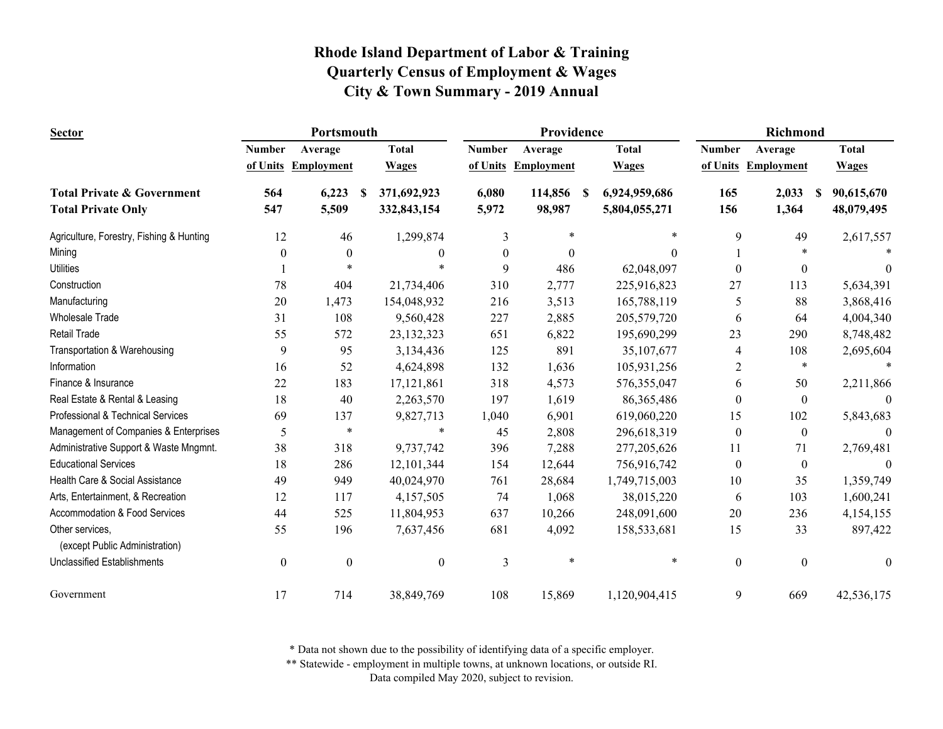| <b>Sector</b>                                     |                  | Portsmouth          |                   |                  | Providence          |                           | Richmond       |                     |                  |
|---------------------------------------------------|------------------|---------------------|-------------------|------------------|---------------------|---------------------------|----------------|---------------------|------------------|
|                                                   | <b>Number</b>    | Average             | <b>Total</b>      | <b>Number</b>    | Average             | <b>Total</b>              | <b>Number</b>  | Average             | <b>Total</b>     |
|                                                   |                  | of Units Employment | <b>Wages</b>      |                  | of Units Employment | <b>Wages</b>              |                | of Units Employment | <b>Wages</b>     |
| <b>Total Private &amp; Government</b>             | 564              | 6,223               | 371,692,923<br>-S | 6,080            | 114,856             | 6,924,959,686<br><b>S</b> | 165            | 2,033               | 90,615,670<br>-S |
| <b>Total Private Only</b>                         | 547              | 5,509               | 332,843,154       | 5,972            | 98,987              | 5,804,055,271             | 156            | 1,364               | 48,079,495       |
| Agriculture, Forestry, Fishing & Hunting          | 12               | 46                  | 1,299,874         | 3                | $\ast$              | $\ast$                    | 9              | 49                  | 2,617,557        |
| Mining                                            | $\mathbf{0}$     | $\theta$            | 0                 | $\boldsymbol{0}$ | $\boldsymbol{0}$    | $\theta$                  |                |                     |                  |
| <b>Utilities</b>                                  |                  |                     |                   | 9                | 486                 | 62,048,097                | $\theta$       | $\mathbf{0}$        | $\Omega$         |
| Construction                                      | 78               | 404                 | 21,734,406        | 310              | 2,777               | 225,916,823               | 27             | 113                 | 5,634,391        |
| Manufacturing                                     | 20               | 1,473               | 154,048,932       | 216              | 3,513               | 165,788,119               | 5              | 88                  | 3,868,416        |
| <b>Wholesale Trade</b>                            | 31               | 108                 | 9,560,428         | 227              | 2,885               | 205,579,720               | 6              | 64                  | 4,004,340        |
| <b>Retail Trade</b>                               | 55               | 572                 | 23, 132, 323      | 651              | 6,822               | 195,690,299               | 23             | 290                 | 8,748,482        |
| Transportation & Warehousing                      | 9                | 95                  | 3,134,436         | 125              | 891                 | 35,107,677                | $\overline{4}$ | 108                 | 2,695,604        |
| Information                                       | 16               | 52                  | 4,624,898         | 132              | 1,636               | 105,931,256               | $\overline{2}$ | $\ast$              |                  |
| Finance & Insurance                               | 22               | 183                 | 17, 121, 861      | 318              | 4,573               | 576,355,047               | 6              | 50                  | 2,211,866        |
| Real Estate & Rental & Leasing                    | 18               | 40                  | 2,263,570         | 197              | 1,619               | 86, 365, 486              | $\theta$       | $\mathbf{0}$        | $\theta$         |
| Professional & Technical Services                 | 69               | 137                 | 9,827,713         | 1,040            | 6,901               | 619,060,220               | 15             | 102                 | 5,843,683        |
| Management of Companies & Enterprises             | 5                | $\ast$              | $\ast$            | 45               | 2,808               | 296,618,319               | $\theta$       | $\boldsymbol{0}$    | $\overline{0}$   |
| Administrative Support & Waste Mngmnt.            | 38               | 318                 | 9,737,742         | 396              | 7,288               | 277,205,626               | 11             | 71                  | 2,769,481        |
| <b>Educational Services</b>                       | 18               | 286                 | 12, 101, 344      | 154              | 12,644              | 756,916,742               | $\theta$       | $\boldsymbol{0}$    | $\theta$         |
| Health Care & Social Assistance                   | 49               | 949                 | 40,024,970        | 761              | 28,684              | 1,749,715,003             | 10             | 35                  | 1,359,749        |
| Arts, Entertainment, & Recreation                 | 12               | 117                 | 4,157,505         | 74               | 1,068               | 38,015,220                | 6              | 103                 | 1,600,241        |
| Accommodation & Food Services                     | 44               | 525                 | 11,804,953        | 637              | 10,266              | 248,091,600               | 20             | 236                 | 4,154,155        |
| Other services,<br>(except Public Administration) | 55               | 196                 | 7,637,456         | 681              | 4,092               | 158,533,681               | 15             | 33                  | 897,422          |
| <b>Unclassified Establishments</b>                | $\boldsymbol{0}$ | $\boldsymbol{0}$    | $\boldsymbol{0}$  | $\mathfrak{Z}$   | *                   | $\ast$                    | $\mathbf{0}$   | $\boldsymbol{0}$    | $\boldsymbol{0}$ |
| Government                                        | 17               | 714                 | 38,849,769        | 108              | 15,869              | 1,120,904,415             | 9              | 669                 | 42,536,175       |

\* Data not shown due to the possibility of identifying data of a specific employer.

\*\* Statewide - employment in multiple towns, at unknown locations, or outside RI.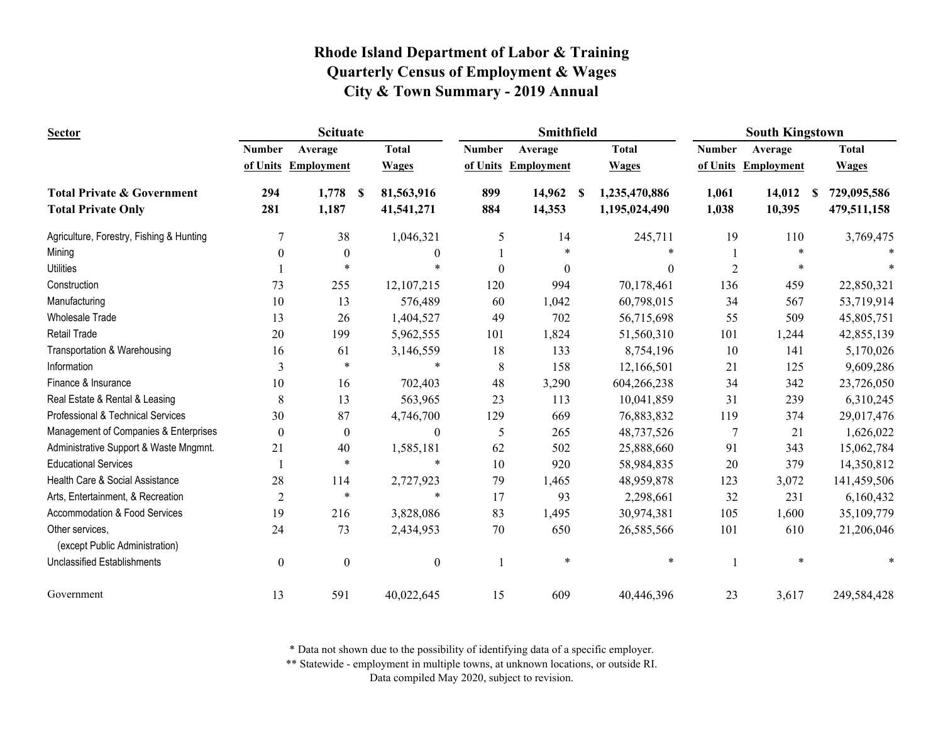| <b>Scituate</b><br><b>Sector</b>         |                  |                   |                    | Smithfield    |            | <b>South Kingstown</b> |                |                     |                  |
|------------------------------------------|------------------|-------------------|--------------------|---------------|------------|------------------------|----------------|---------------------|------------------|
|                                          | <b>Number</b>    | Average           | <b>Total</b>       | <b>Number</b> | Average    | <b>Total</b>           | <b>Number</b>  | Average             | <b>Total</b>     |
|                                          | of Units         | <b>Employment</b> | <b>Wages</b>       | of Units      | Employment | <b>Wages</b>           |                | of Units Employment | <b>Wages</b>     |
| <b>Total Private &amp; Government</b>    | 294              | 1,778             | 81,563,916<br>- \$ | 899           | 14,962     | 1,235,470,886<br>S     | 1,061          | 14,012              | 729,095,586<br>S |
| <b>Total Private Only</b>                | 281              | 1,187             | 41,541,271         | 884           | 14,353     | 1,195,024,490          | 1,038          | 10,395              | 479,511,158      |
| Agriculture, Forestry, Fishing & Hunting | 7                | 38                | 1,046,321          | 5             | 14         | 245,711                | 19             | 110                 | 3,769,475        |
| Mining                                   | $\theta$         | $\boldsymbol{0}$  | $\theta$           |               | $\ast$     |                        |                | $\ast$              |                  |
| <b>Utilities</b>                         |                  | *                 |                    | $\theta$      | $\theta$   | $\Omega$               | $\overline{2}$ | $\ast$              |                  |
| Construction                             | 73               | 255               | 12, 107, 215       | 120           | 994        | 70,178,461             | 136            | 459                 | 22,850,321       |
| Manufacturing                            | 10               | 13                | 576,489            | 60            | 1,042      | 60,798,015             | 34             | 567                 | 53,719,914       |
| <b>Wholesale Trade</b>                   | 13               | 26                | 1,404,527          | 49            | 702        | 56,715,698             | 55             | 509                 | 45,805,751       |
| <b>Retail Trade</b>                      | 20               | 199               | 5,962,555          | 101           | 1,824      | 51,560,310             | 101            | 1,244               | 42,855,139       |
| Transportation & Warehousing             | 16               | 61                | 3,146,559          | 18            | 133        | 8,754,196              | 10             | 141                 | 5,170,026        |
| Information                              | 3                | $\ast$            |                    | 8             | 158        | 12,166,501             | 21             | 125                 | 9,609,286        |
| Finance & Insurance                      | 10               | 16                | 702,403            | 48            | 3,290      | 604,266,238            | 34             | 342                 | 23,726,050       |
| Real Estate & Rental & Leasing           | 8                | 13                | 563,965            | 23            | 113        | 10,041,859             | 31             | 239                 | 6,310,245        |
| Professional & Technical Services        | 30               | 87                | 4,746,700          | 129           | 669        | 76,883,832             | 119            | 374                 | 29,017,476       |
| Management of Companies & Enterprises    | $\boldsymbol{0}$ | $\boldsymbol{0}$  | $\boldsymbol{0}$   | 5             | 265        | 48,737,526             | 7              | 21                  | 1,626,022        |
| Administrative Support & Waste Mngmnt.   | 21               | 40                | 1,585,181          | 62            | 502        | 25,888,660             | 91             | 343                 | 15,062,784       |
| <b>Educational Services</b>              |                  | $\ast$            | $\ast$             | 10            | 920        | 58,984,835             | 20             | 379                 | 14,350,812       |
| Health Care & Social Assistance          | 28               | 114               | 2,727,923          | 79            | 1,465      | 48,959,878             | 123            | 3,072               | 141,459,506      |
| Arts, Entertainment, & Recreation        | $\overline{2}$   | $\ast$            | $\ast$             | 17            | 93         | 2,298,661              | 32             | 231                 | 6,160,432        |
| Accommodation & Food Services            | 19               | 216               | 3,828,086          | 83            | 1,495      | 30,974,381             | 105            | 1,600               | 35,109,779       |
| Other services,                          | 24               | 73                | 2,434,953          | 70            | 650        | 26,585,566             | 101            | 610                 | 21,206,046       |
| (except Public Administration)           |                  |                   |                    |               |            |                        |                |                     |                  |
| <b>Unclassified Establishments</b>       | $\boldsymbol{0}$ | $\boldsymbol{0}$  | $\boldsymbol{0}$   |               | $\ast$     | $\ast$                 |                | $\ast$              |                  |
| Government                               | 13               | 591               | 40,022,645         | 15            | 609        | 40,446,396             | 23             | 3,617               | 249,584,428      |

\* Data not shown due to the possibility of identifying data of a specific employer.

\*\* Statewide - employment in multiple towns, at unknown locations, or outside RI.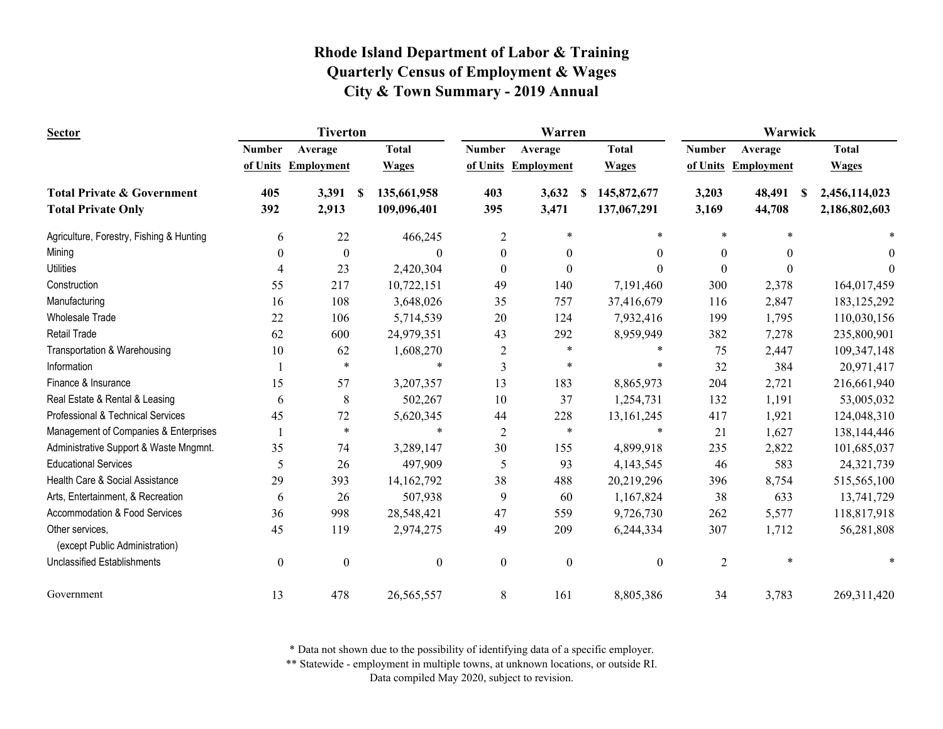| <b>Sector</b>                            |                  | <b>Tiverton</b>   |    |                  |                  | Warren              |                  | Warwick          |                     |                     |  |
|------------------------------------------|------------------|-------------------|----|------------------|------------------|---------------------|------------------|------------------|---------------------|---------------------|--|
|                                          | <b>Number</b>    | Average           |    | <b>Total</b>     | <b>Number</b>    | Average             | <b>Total</b>     | <b>Number</b>    | Average             | <b>Total</b>        |  |
|                                          | of Units         | <b>Employment</b> |    | <b>Wages</b>     |                  | of Units Employment | <b>Wages</b>     |                  | of Units Employment | <b>Wages</b>        |  |
| <b>Total Private &amp; Government</b>    | 405              | 3,391             | -S | 135,661,958      | 403              | 3,632               | 145,872,677<br>S | 3,203            | 48,491              | 2,456,114,023<br>-8 |  |
| <b>Total Private Only</b>                | 392              | 2,913             |    | 109,096,401      | 395              | 3,471               | 137,067,291      | 3,169            | 44,708              | 2,186,802,603       |  |
| Agriculture, Forestry, Fishing & Hunting | 6                | 22                |    | 466,245          | $\overline{c}$   | $\ast$              | $\ast$           | $\ast$           | $\ast$              |                     |  |
| Mining                                   | $\mathbf{0}$     | $\boldsymbol{0}$  |    | $\theta$         | $\boldsymbol{0}$ | $\theta$            | 0                | $\theta$         | $\theta$            | $\theta$            |  |
| <b>Utilities</b>                         | $\overline{4}$   | 23                |    | 2,420,304        | $\boldsymbol{0}$ | $\Omega$            | 0                | $\theta$         | $\Omega$            | 0                   |  |
| Construction                             | 55               | 217               |    | 10,722,151       | 49               | 140                 | 7,191,460        | 300              | 2,378               | 164,017,459         |  |
| Manufacturing                            | 16               | 108               |    | 3,648,026        | 35               | 757                 | 37,416,679       | 116              | 2,847               | 183, 125, 292       |  |
| <b>Wholesale Trade</b>                   | 22               | 106               |    | 5,714,539        | 20               | 124                 | 7,932,416        | 199              | 1,795               | 110,030,156         |  |
| <b>Retail Trade</b>                      | 62               | 600               |    | 24,979,351       | 43               | 292                 | 8,959,949        | 382              | 7,278               | 235,800,901         |  |
| Transportation & Warehousing             | 10               | 62                |    | 1,608,270        | $\overline{c}$   | $\ast$              |                  | 75               | 2,447               | 109,347,148         |  |
| Information                              |                  | $\ast$            |    | $\ast$           | 3                | $\ast$              |                  | 32               | 384                 | 20,971,417          |  |
| Finance & Insurance                      | 15               | 57                |    | 3,207,357        | 13               | 183                 | 8,865,973        | 204              | 2,721               | 216,661,940         |  |
| Real Estate & Rental & Leasing           | 6                | 8                 |    | 502,267          | 10               | 37                  | 1,254,731        | 132              | 1,191               | 53,005,032          |  |
| Professional & Technical Services        | 45               | 72                |    | 5,620,345        | 44               | 228                 | 13, 161, 245     | 417              | 1,921               | 124,048,310         |  |
| Management of Companies & Enterprises    |                  | $\ast$            |    | *                | $\overline{c}$   | $\ast$              | $\ast$           | 21               | 1,627               | 138,144,446         |  |
| Administrative Support & Waste Mngmnt.   | 35               | 74                |    | 3,289,147        | 30               | 155                 | 4,899,918        | 235              | 2,822               | 101,685,037         |  |
| <b>Educational Services</b>              | 5                | 26                |    | 497,909          | 5                | 93                  | 4,143,545        | 46               | 583                 | 24,321,739          |  |
| Health Care & Social Assistance          | 29               | 393               |    | 14, 162, 792     | 38               | 488                 | 20,219,296       | 396              | 8,754               | 515,565,100         |  |
| Arts, Entertainment, & Recreation        | 6                | 26                |    | 507,938          | 9                | 60                  | 1,167,824        | 38               | 633                 | 13,741,729          |  |
| Accommodation & Food Services            | 36               | 998               |    | 28,548,421       | 47               | 559                 | 9,726,730        | 262              | 5,577               | 118,817,918         |  |
| Other services,                          | 45               | 119               |    | 2,974,275        | 49               | 209                 | 6,244,334        | 307              | 1,712               | 56,281,808          |  |
| (except Public Administration)           |                  |                   |    |                  |                  |                     |                  |                  | $\ast$              |                     |  |
| <b>Unclassified Establishments</b>       | $\boldsymbol{0}$ | $\boldsymbol{0}$  |    | $\boldsymbol{0}$ | $\boldsymbol{0}$ | $\boldsymbol{0}$    | $\mathbf{0}$     | $\boldsymbol{2}$ |                     |                     |  |
| Government                               | 13               | 478               |    | 26,565,557       | 8                | 161                 | 8,805,386        | 34               | 3,783               | 269,311,420         |  |

\* Data not shown due to the possibility of identifying data of a specific employer.

\*\* Statewide - employment in multiple towns, at unknown locations, or outside RI.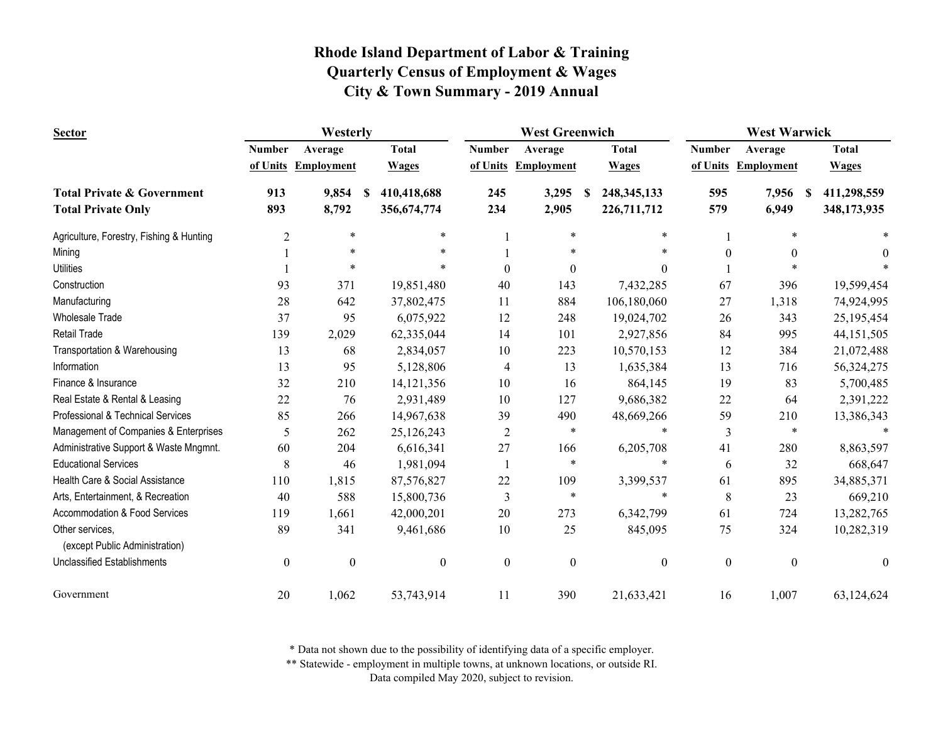| <b>Sector</b>                            | Westerly      |                     |                  |                  | <b>West Greenwich</b> |                           | <b>West Warwick</b> |                     |                  |
|------------------------------------------|---------------|---------------------|------------------|------------------|-----------------------|---------------------------|---------------------|---------------------|------------------|
|                                          | <b>Number</b> | Average             | <b>Total</b>     | <b>Number</b>    | Average               | <b>Total</b>              | <b>Number</b>       | Average             | <b>Total</b>     |
|                                          |               | of Units Employment | <b>Wages</b>     | of Units         | Employment            | <b>Wages</b>              |                     | of Units Employment | <b>Wages</b>     |
| <b>Total Private &amp; Government</b>    | 913           | 9,854               | 410,418,688<br>S | 245              | 3,295                 | 248, 345, 133<br><b>S</b> | 595                 | 7,956               | 411,298,559<br>S |
| <b>Total Private Only</b>                | 893           | 8,792               | 356,674,774      | 234              | 2,905                 | 226,711,712               | 579                 | 6,949               | 348,173,935      |
| Agriculture, Forestry, Fishing & Hunting | 2             | $\ast$              | $\ast$           |                  | $\ast$                | $\ast$                    |                     | $\ast$              |                  |
| Mining                                   |               | $\ast$              |                  |                  |                       |                           | $\boldsymbol{0}$    |                     | $\theta$         |
| <b>Utilities</b>                         |               |                     |                  | $\Omega$         | $\boldsymbol{0}$      | $\theta$                  |                     |                     |                  |
| Construction                             | 93            | 371                 | 19,851,480       | 40               | 143                   | 7,432,285                 | 67                  | 396                 | 19,599,454       |
| Manufacturing                            | 28            | 642                 | 37,802,475       | 11               | 884                   | 106,180,060               | 27                  | 1,318               | 74,924,995       |
| <b>Wholesale Trade</b>                   | 37            | 95                  | 6,075,922        | 12               | 248                   | 19,024,702                | 26                  | 343                 | 25,195,454       |
| <b>Retail Trade</b>                      | 139           | 2,029               | 62,335,044       | 14               | 101                   | 2,927,856                 | 84                  | 995                 | 44, 151, 505     |
| Transportation & Warehousing             | 13            | 68                  | 2,834,057        | 10               | 223                   | 10,570,153                | 12                  | 384                 | 21,072,488       |
| Information                              | 13            | 95                  | 5,128,806        | $\overline{4}$   | 13                    | 1,635,384                 | 13                  | 716                 | 56,324,275       |
| Finance & Insurance                      | 32            | 210                 | 14, 121, 356     | 10               | 16                    | 864,145                   | 19                  | 83                  | 5,700,485        |
| Real Estate & Rental & Leasing           | 22            | 76                  | 2,931,489        | 10               | 127                   | 9,686,382                 | 22                  | 64                  | 2,391,222        |
| Professional & Technical Services        | 85            | 266                 | 14,967,638       | 39               | 490                   | 48,669,266                | 59                  | 210                 | 13,386,343       |
| Management of Companies & Enterprises    | 5             | 262                 | 25,126,243       | $\overline{2}$   | $\ast$                | $\ast$                    | 3                   | $\ast$              |                  |
| Administrative Support & Waste Mngmnt.   | 60            | 204                 | 6,616,341        | 27               | 166                   | 6,205,708                 | 41                  | 280                 | 8,863,597        |
| <b>Educational Services</b>              | 8             | 46                  | 1,981,094        |                  | $\ast$                | ∗                         | 6                   | 32                  | 668,647          |
| Health Care & Social Assistance          | 110           | 1,815               | 87,576,827       | 22               | 109                   | 3,399,537                 | 61                  | 895                 | 34,885,371       |
| Arts, Entertainment, & Recreation        | 40            | 588                 | 15,800,736       | $\mathfrak{Z}$   | $\ast$                | $\ast$                    | 8                   | 23                  | 669,210          |
| Accommodation & Food Services            | 119           | 1,661               | 42,000,201       | 20               | 273                   | 6,342,799                 | 61                  | 724                 | 13,282,765       |
| Other services,                          | 89            | 341                 | 9,461,686        | 10               | 25                    | 845,095                   | 75                  | 324                 | 10,282,319       |
| (except Public Administration)           |               |                     |                  |                  |                       |                           |                     |                     |                  |
| <b>Unclassified Establishments</b>       | $\mathbf{0}$  | $\boldsymbol{0}$    | $\boldsymbol{0}$ | $\boldsymbol{0}$ | $\boldsymbol{0}$      | $\boldsymbol{0}$          | $\boldsymbol{0}$    | $\mathbf{0}$        | $\theta$         |
| Government                               | 20            | 1,062               | 53,743,914       | 11               | 390                   | 21,633,421                | 16                  | 1,007               | 63,124,624       |

\* Data not shown due to the possibility of identifying data of a specific employer.

\*\* Statewide - employment in multiple towns, at unknown locations, or outside RI.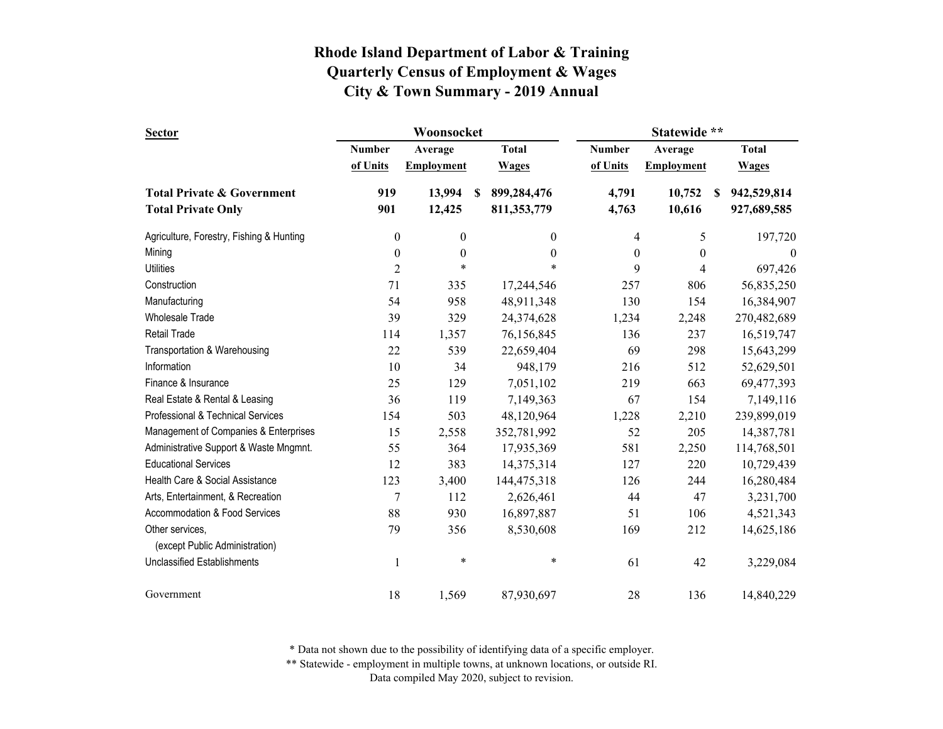| <b>Sector</b>                                                      |                  | Woonsocket        |   | Statewide **               |                  |                   |   |                            |
|--------------------------------------------------------------------|------------------|-------------------|---|----------------------------|------------------|-------------------|---|----------------------------|
|                                                                    | Number           | Average           |   | <b>Total</b>               | <b>Number</b>    | Average           |   | <b>Total</b>               |
|                                                                    | of Units         | <b>Employment</b> |   | <b>Wages</b>               | of Units         | <b>Employment</b> |   | <b>Wages</b>               |
| <b>Total Private &amp; Government</b><br><b>Total Private Only</b> | 919<br>901       | 13,994<br>12,425  | S | 899,284,476<br>811,353,779 | 4,791<br>4,763   | 10,752<br>10,616  | S | 942,529,814<br>927,689,585 |
| Agriculture, Forestry, Fishing & Hunting                           | $\overline{0}$   | $\boldsymbol{0}$  |   | $\boldsymbol{0}$           | 4                | 5                 |   | 197,720                    |
| Mining                                                             | $\overline{0}$   | $\boldsymbol{0}$  |   | $\boldsymbol{0}$           | $\boldsymbol{0}$ | $\boldsymbol{0}$  |   | $\boldsymbol{0}$           |
| <b>Utilities</b>                                                   | $\overline{2}$   | $\ast$            |   | $\ast$                     | 9                | 4                 |   | 697,426                    |
| Construction                                                       | 71               | 335               |   | 17,244,546                 | 257              | 806               |   | 56,835,250                 |
| Manufacturing                                                      | 54               | 958               |   | 48,911,348                 | 130              | 154               |   | 16,384,907                 |
| <b>Wholesale Trade</b>                                             | 39               | 329               |   | 24,374,628                 | 1,234            | 2,248             |   | 270,482,689                |
| Retail Trade                                                       | 114              | 1,357             |   | 76,156,845                 | 136              | 237               |   | 16,519,747                 |
| Transportation & Warehousing                                       | 22               | 539               |   | 22,659,404                 | 69               | 298               |   | 15,643,299                 |
| Information                                                        | 10               | 34                |   | 948,179                    | 216              | 512               |   | 52,629,501                 |
| Finance & Insurance                                                | 25               | 129               |   | 7,051,102                  | 219              | 663               |   | 69,477,393                 |
| Real Estate & Rental & Leasing                                     | 36               | 119               |   | 7,149,363                  | 67               | 154               |   | 7,149,116                  |
| Professional & Technical Services                                  | 154              | 503               |   | 48,120,964                 | 1,228            | 2,210             |   | 239,899,019                |
| Management of Companies & Enterprises                              | 15               | 2,558             |   | 352,781,992                | 52               | 205               |   | 14,387,781                 |
| Administrative Support & Waste Mngmnt.                             | 55               | 364               |   | 17,935,369                 | 581              | 2,250             |   | 114,768,501                |
| <b>Educational Services</b>                                        | 12               | 383               |   | 14,375,314                 | 127              | 220               |   | 10,729,439                 |
| Health Care & Social Assistance                                    | 123              | 3,400             |   | 144,475,318                | 126              | 244               |   | 16,280,484                 |
| Arts, Entertainment, & Recreation                                  | $\boldsymbol{7}$ | 112               |   | 2,626,461                  | 44               | 47                |   | 3,231,700                  |
| Accommodation & Food Services                                      | 88               | 930               |   | 16,897,887                 | 51               | 106               |   | 4,521,343                  |
| Other services,<br>(except Public Administration)                  | 79               | 356               |   | 8,530,608                  | 169              | 212               |   | 14,625,186                 |
| <b>Unclassified Establishments</b>                                 | 1                | $\ast$            |   | *                          | 61               | 42                |   | 3,229,084                  |
| Government                                                         | 18               | 1,569             |   | 87,930,697                 | 28               | 136               |   | 14,840,229                 |

\* Data not shown due to the possibility of identifying data of a specific employer.

\*\* Statewide - employment in multiple towns, at unknown locations, or outside RI.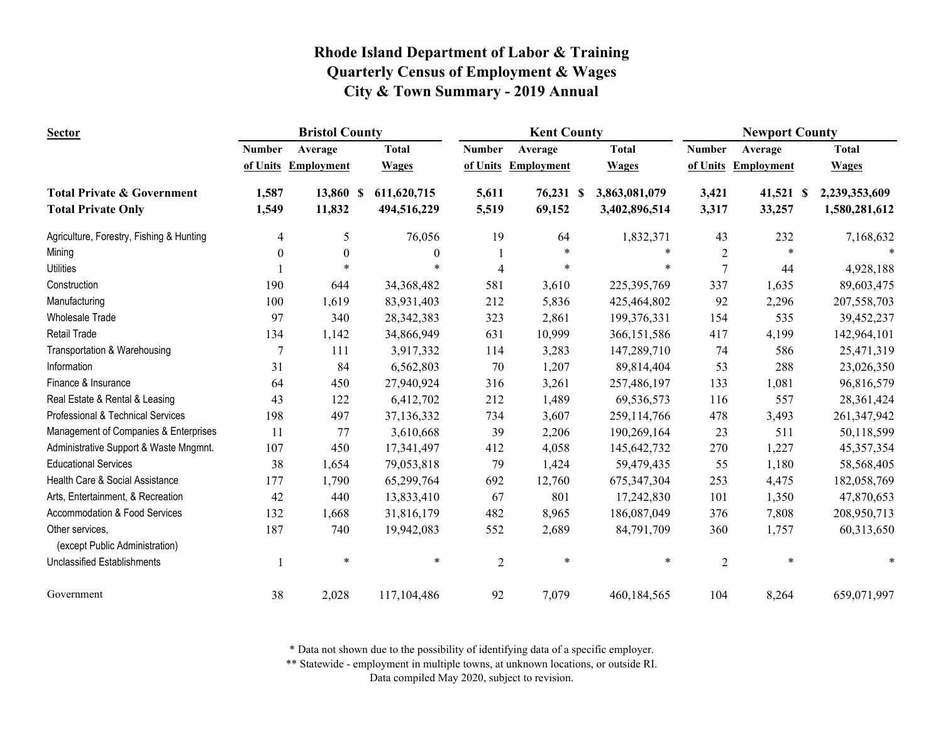| <b>Sector</b>                                     | <b>Bristol County</b> |                   |              |                | <b>Kent County</b> |               | <b>Newport County</b> |                   |               |  |
|---------------------------------------------------|-----------------------|-------------------|--------------|----------------|--------------------|---------------|-----------------------|-------------------|---------------|--|
|                                                   | <b>Number</b>         | Average           | <b>Total</b> | <b>Number</b>  | Average            | <b>Total</b>  | <b>Number</b>         | Average           | <b>Total</b>  |  |
|                                                   | of Units              | <b>Employment</b> | <b>Wages</b> | of Units       | <b>Employment</b>  | <b>Wages</b>  | of Units              | <b>Employment</b> | <b>Wages</b>  |  |
| <b>Total Private &amp; Government</b>             | 1,587                 | 13,860 \$         | 611,620,715  | 5,611          | 76,231 \$          | 3,863,081,079 | 3,421                 | 41,521 \$         | 2,239,353,609 |  |
| <b>Total Private Only</b>                         | 1,549                 | 11,832            | 494,516,229  | 5,519          | 69,152             | 3,402,896,514 | 3,317                 | 33,257            | 1,580,281,612 |  |
| Agriculture, Forestry, Fishing & Hunting          | $\overline{4}$        | 5                 | 76,056       | 19             | 64                 | 1,832,371     | 43                    | 232               | 7,168,632     |  |
| Mining                                            | $\boldsymbol{0}$      | $\boldsymbol{0}$  | $\theta$     |                |                    | $\ast$        | $\overline{2}$        | $\ast$            |               |  |
| <b>Utilities</b>                                  |                       |                   |              | $\Delta$       | $\ast$             | $\ast$        | $\overline{7}$        | 44                | 4,928,188     |  |
| Construction                                      | 190                   | 644               | 34,368,482   | 581            | 3,610              | 225, 395, 769 | 337                   | 1,635             | 89,603,475    |  |
| Manufacturing                                     | 100                   | 1,619             | 83,931,403   | 212            | 5,836              | 425,464,802   | 92                    | 2,296             | 207,558,703   |  |
| <b>Wholesale Trade</b>                            | 97                    | 340               | 28, 342, 383 | 323            | 2,861              | 199,376,331   | 154                   | 535               | 39,452,237    |  |
| <b>Retail Trade</b>                               | 134                   | 1,142             | 34,866,949   | 631            | 10,999             | 366, 151, 586 | 417                   | 4,199             | 142,964,101   |  |
| Transportation & Warehousing                      | $\overline{7}$        | 111               | 3,917,332    | 114            | 3,283              | 147,289,710   | 74                    | 586               | 25,471,319    |  |
| Information                                       | 31                    | 84                | 6,562,803    | 70             | 1,207              | 89,814,404    | 53                    | 288               | 23,026,350    |  |
| Finance & Insurance                               | 64                    | 450               | 27,940,924   | 316            | 3,261              | 257,486,197   | 133                   | 1,081             | 96,816,579    |  |
| Real Estate & Rental & Leasing                    | 43                    | 122               | 6,412,702    | 212            | 1,489              | 69,536,573    | 116                   | 557               | 28,361,424    |  |
| Professional & Technical Services                 | 198                   | 497               | 37,136,332   | 734            | 3,607              | 259,114,766   | 478                   | 3,493             | 261,347,942   |  |
| Management of Companies & Enterprises             | 11                    | 77                | 3,610,668    | 39             | 2,206              | 190,269,164   | 23                    | 511               | 50,118,599    |  |
| Administrative Support & Waste Mngmnt.            | 107                   | 450               | 17,341,497   | 412            | 4,058              | 145,642,732   | 270                   | 1,227             | 45,357,354    |  |
| <b>Educational Services</b>                       | 38                    | 1,654             | 79,053,818   | 79             | 1,424              | 59,479,435    | 55                    | 1,180             | 58,568,405    |  |
| Health Care & Social Assistance                   | 177                   | 1,790             | 65,299,764   | 692            | 12,760             | 675, 347, 304 | 253                   | 4,475             | 182,058,769   |  |
| Arts, Entertainment, & Recreation                 | 42                    | 440               | 13,833,410   | 67             | 801                | 17,242,830    | 101                   | 1,350             | 47,870,653    |  |
| Accommodation & Food Services                     | 132                   | 1,668             | 31,816,179   | 482            | 8,965              | 186,087,049   | 376                   | 7,808             | 208,950,713   |  |
| Other services,<br>(except Public Administration) | 187                   | 740               | 19,942,083   | 552            | 2,689              | 84,791,709    | 360                   | 1,757             | 60,313,650    |  |
| Unclassified Establishments                       |                       | $\ast$            | $\ast$       | $\overline{2}$ | $\ast$             | $\ast$        | $\overline{2}$        | $\ast$            |               |  |
| Government                                        | 38                    | 2,028             | 117,104,486  | 92             | 7,079              | 460,184,565   | 104                   | 8,264             | 659,071,997   |  |

\* Data not shown due to the possibility of identifying data of a specific employer.

\*\* Statewide - employment in multiple towns, at unknown locations, or outside RI.